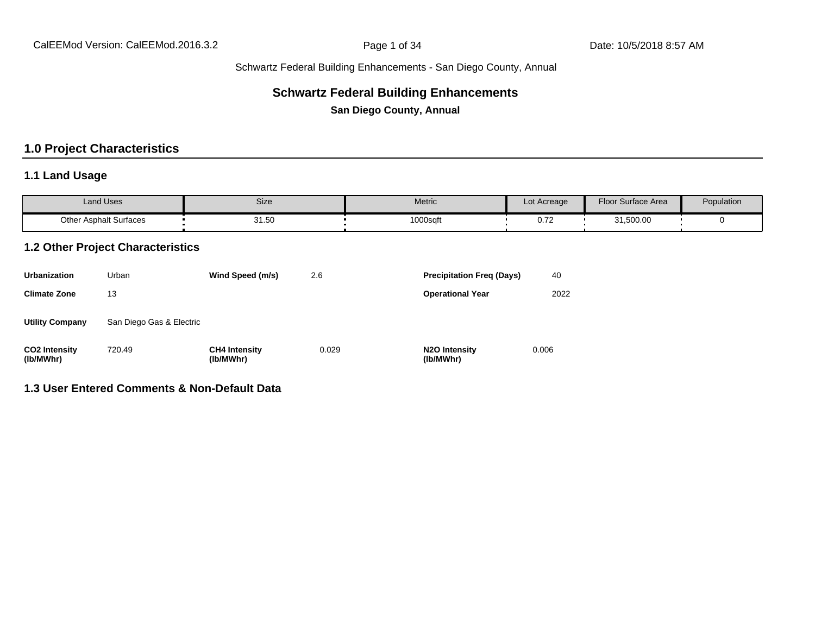## **Schwartz Federal Building Enhancements**

**San Diego County, Annual**

## **1.0 Project Characteristics**

## **1.1 Land Usage**

| <b>Land Uses</b>              | Size  | Metric   | Lot Acreage       | Floor Surface Area | Population |
|-------------------------------|-------|----------|-------------------|--------------------|------------|
| <b>Other Asphalt Surfaces</b> | 31.50 | 1000sqft | $\sim$ 70<br>0.12 | 31,500.00          |            |

### **1.2 Other Project Characteristics**

| <b>Urbanization</b>               | Urban                    | Wind Speed (m/s)                  | 2.6   | <b>Precipitation Freg (Days)</b>        | 40    |
|-----------------------------------|--------------------------|-----------------------------------|-------|-----------------------------------------|-------|
| <b>Climate Zone</b>               | 13                       |                                   |       | <b>Operational Year</b>                 | 2022  |
| <b>Utility Company</b>            | San Diego Gas & Electric |                                   |       |                                         |       |
| <b>CO2 Intensity</b><br>(lb/MWhr) | 720.49                   | <b>CH4 Intensity</b><br>(lb/MWhr) | 0.029 | N <sub>2</sub> O Intensity<br>(lb/MWhr) | 0.006 |

## **1.3 User Entered Comments & Non-Default Data**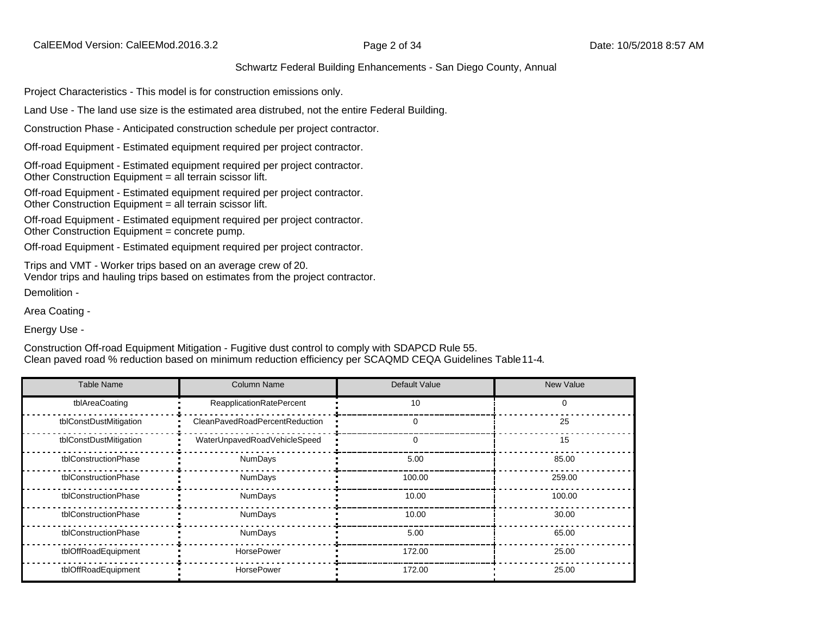Project Characteristics - This model is for construction emissions only.

Land Use - The land use size is the estimated area distrubed, not the entire Federal Building.

Construction Phase - Anticipated construction schedule per project contractor.

Off-road Equipment - Estimated equipment required per project contractor.

Off-road Equipment - Estimated equipment required per project contractor. Other Construction Equipment = all terrain scissor lift.

Off-road Equipment - Estimated equipment required per project contractor. Other Construction Equipment = all terrain scissor lift.

Off-road Equipment - Estimated equipment required per project contractor. Other Construction Equipment = concrete pump.

Off-road Equipment - Estimated equipment required per project contractor.

Trips and VMT - Worker trips based on an average crew of 20. Vendor trips and hauling trips based on estimates from the project contractor. Demolition -

Area Coating -

Energy Use -

Construction Off-road Equipment Mitigation - Fugitive dust control to comply with SDAPCD Rule 55. Clean paved road % reduction based on minimum reduction efficiency per SCAQMD CEQA Guidelines Table 11-4.

| <b>Table Name</b>      | <b>Column Name</b>              | Default Value | <b>New Value</b> |
|------------------------|---------------------------------|---------------|------------------|
| tblAreaCoating         | <b>ReapplicationRatePercent</b> | 10            | 0                |
| tblConstDustMitigation | CleanPavedRoadPercentReduction  | 0             | 25               |
| tblConstDustMitigation | WaterUnpavedRoadVehicleSpeed    | 0             | 15               |
| tblConstructionPhase   | <b>NumDays</b>                  | 5.00          | 85.00            |
| tblConstructionPhase   | NumDays                         | 100.00        | 259.00           |
| tblConstructionPhase   | NumDays                         | 10.00         | 100.00           |
| tblConstructionPhase   | NumDays                         | 10.00         | 30.00            |
| tblConstructionPhase   | NumDays                         | 5.00          | 65.00            |
| tblOffRoadEquipment    | HorsePower                      | 172.00        | 25.00            |
| tblOffRoadEquipment    | <b>HorsePower</b>               | 172.00        | 25.00            |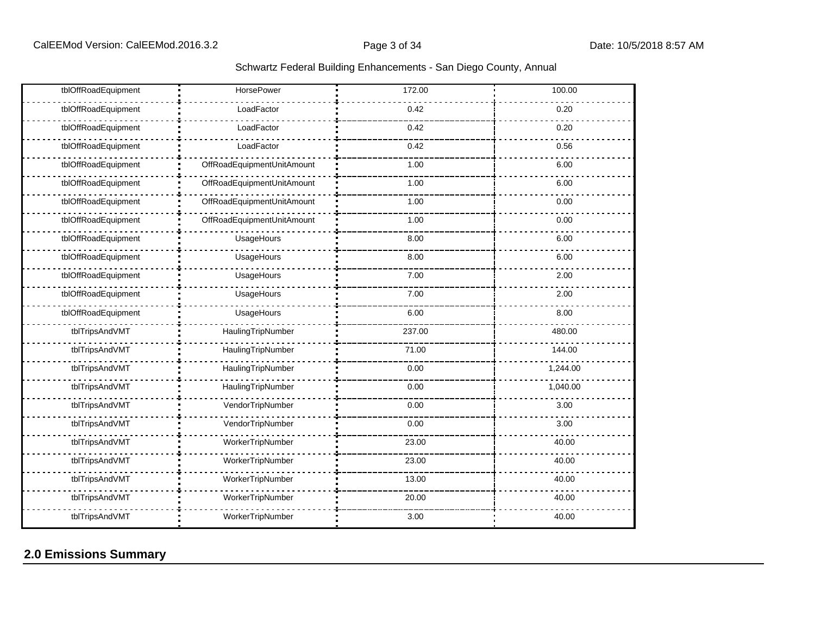| tblOffRoadEquipment | <b>HorsePower</b>          | 172.00 | 100.00   |
|---------------------|----------------------------|--------|----------|
| tblOffRoadEquipment | LoadFactor                 | 0.42   | 0.20     |
| tblOffRoadEquipment | LoadFactor                 | 0.42   | 0.20     |
| tblOffRoadEquipment | LoadFactor                 | 0.42   | 0.56     |
| tblOffRoadEquipment | OffRoadEquipmentUnitAmount | 1.00   | 6.00     |
| tblOffRoadEquipment | OffRoadEquipmentUnitAmount | 1.00   | 6.00     |
| tblOffRoadEquipment | OffRoadEquipmentUnitAmount | 1.00   | 0.00     |
| tblOffRoadEquipment | OffRoadEquipmentUnitAmount | 1.00   | 0.00     |
| tblOffRoadEquipment | UsageHours                 | 8.00   | 6.00     |
| tblOffRoadEquipment | UsageHours                 | 8.00   | 6.00     |
| tblOffRoadEquipment | UsageHours                 | 7.00   | 2.00     |
| tblOffRoadEquipment | UsageHours                 | 7.00   | 2.00     |
| tblOffRoadEquipment | UsageHours                 | 6.00   | 8.00     |
| tblTripsAndVMT      | HaulingTripNumber          | 237.00 | 480.00   |
| tblTripsAndVMT      | HaulingTripNumber          | 71.00  | 144.00   |
| tblTripsAndVMT      | HaulingTripNumber          | 0.00   | 1,244.00 |
| tblTripsAndVMT      | HaulingTripNumber          | 0.00   | 1,040.00 |
| tblTripsAndVMT      | VendorTripNumber           | 0.00   | 3.00     |
| tblTripsAndVMT      | VendorTripNumber           | 0.00   | 3.00     |
| tblTripsAndVMT      | WorkerTripNumber           | 23.00  | 40.00    |
| tblTripsAndVMT      | WorkerTripNumber           | 23.00  | 40.00    |
| tblTripsAndVMT      | WorkerTripNumber           | 13.00  | 40.00    |
| tblTripsAndVMT      | WorkerTripNumber           | 20.00  | 40.00    |
| tblTripsAndVMT      | WorkerTripNumber           | 3.00   | 40.00    |

## **2.0 Emissions Summary**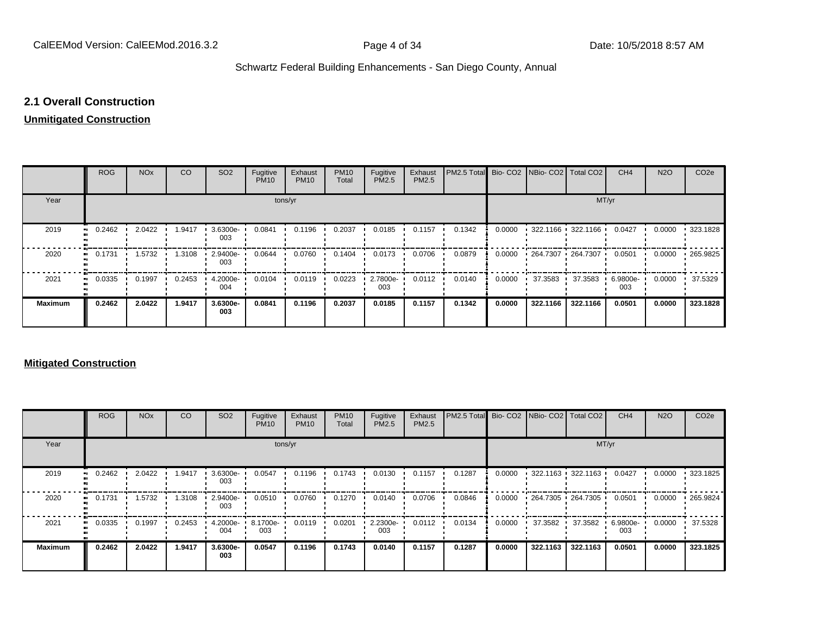### **2.1 Overall Construction**

## **Unmitigated Construction**

|                          | <b>ROG</b>          | <b>NO<sub>x</sub></b> | CO     | SO <sub>2</sub> | Fugitive<br><b>PM10</b> | Exhaust<br><b>PM10</b> | <b>PM10</b><br>Total | Fugitive<br>PM2.5 | Exhaust<br>PM2.5 | PM2.5 Total Bio- CO2 NBio- CO2 Total CO2 |        |          |                                           | CH <sub>4</sub> | <b>N2O</b> | CO <sub>2e</sub> |
|--------------------------|---------------------|-----------------------|--------|-----------------|-------------------------|------------------------|----------------------|-------------------|------------------|------------------------------------------|--------|----------|-------------------------------------------|-----------------|------------|------------------|
| Year                     |                     |                       |        |                 | tons/yr                 |                        |                      |                   |                  |                                          |        |          | MT/yr                                     |                 |            |                  |
| 2019<br>$\bullet\bullet$ | 0.2462              | 2.0422                | 1.9417 | 3.6300e-<br>003 | 0.0841                  | 0.1196                 | 0.2037               | 0.0185            | 0.1157           | 0.1342                                   | 0.0000 |          | $\cdot$ 322.1166 $\cdot$ 322.1166 $\cdot$ | 0.0427          | 0.0000     | .323.1828        |
| 2020<br>$\bullet\bullet$ | 0.1731              | 1.5732                | 1.3108 | 2.9400e-<br>003 | 0.0644                  | 0.0760                 | 0.1404               | 0.0173            | 0.0706           | 0.0879                                   | 0.0000 |          | $-264.7307 - 264.7307$                    | 0.0501          | 0.0000     | 265.9825         |
| 2021                     | 0.0335<br>$\bullet$ | 0.1997                | 0.2453 | 4.2000e-<br>004 | 0.0104                  | 0.0119                 | 0.0223               | 2.7800e-<br>003   | 0.0112           | 0.0140                                   | 0.0000 | 37.3583  | 37.3583                                   | 6.9800e-<br>003 | 0.0000     | 37.5329          |
| <b>Maximum</b>           | 0.2462              | 2.0422                | 1.9417 | 3.6300e-<br>003 | 0.0841                  | 0.1196                 | 0.2037               | 0.0185            | 0.1157           | 0.1342                                   | 0.0000 | 322.1166 | 322.1166                                  | 0.0501          | 0.0000     | 323.1828         |

### **Mitigated Construction**

|                | <b>ROG</b> | <b>NO<sub>x</sub></b> | CO     | SO <sub>2</sub> | Fugitive<br><b>PM10</b> | Exhaust<br><b>PM10</b> | <b>PM10</b><br>Total | Fugitive<br>PM2.5 | Exhaust<br>PM2.5 | PM2.5 Total |        |          | Bio- CO2 NBio- CO2 Total CO2              | CH <sub>4</sub> | <b>N2O</b> | CO <sub>2e</sub> |
|----------------|------------|-----------------------|--------|-----------------|-------------------------|------------------------|----------------------|-------------------|------------------|-------------|--------|----------|-------------------------------------------|-----------------|------------|------------------|
| Year           |            |                       |        |                 |                         | tons/yr                |                      |                   |                  |             |        |          | MT/yr                                     |                 |            |                  |
| 2019           | 0.2462     | 2.0422                | .9417  | 3.6300e-<br>003 | 0.0547                  | 0.1196                 | 0.1743               | 0.0130            | 0.1157           | 0.1287      | 0.0000 |          | $\cdot$ 322.1163 $\cdot$ 322.1163 $\cdot$ | 0.0427          | 0.0000     | $\cdot$ 323.1825 |
| 2020           | 0.1731     | 1.5732                | 1.3108 | 2.9400e-<br>003 | 0.0510                  | 0.0760                 | 0.1270               | 0.0140            | 0.0706           | 0.0846      | 0.0000 |          | $-264.7305 - 264.7305$                    | 0.0501          | 0.0000     | .265.9824        |
| 2021           | 0.0335     | 0.1997                | 0.2453 | 4.2000e-<br>004 | 8.1700e-<br>003         | 0.0119                 | 0.0201               | 2.2300e-<br>003   | 0.0112           | 0.0134      | 0.0000 | 37.3582  | 37.3582                                   | 6.9800e-<br>003 | 0.0000     | 37.5328          |
| <b>Maximum</b> | 0.2462     | 2.0422                | 1.9417 | 3.6300e-<br>003 | 0.0547                  | 0.1196                 | 0.1743               | 0.0140            | 0.1157           | 0.1287      | 0.0000 | 322.1163 | 322.1163                                  | 0.0501          | 0.0000     | 323.1825         |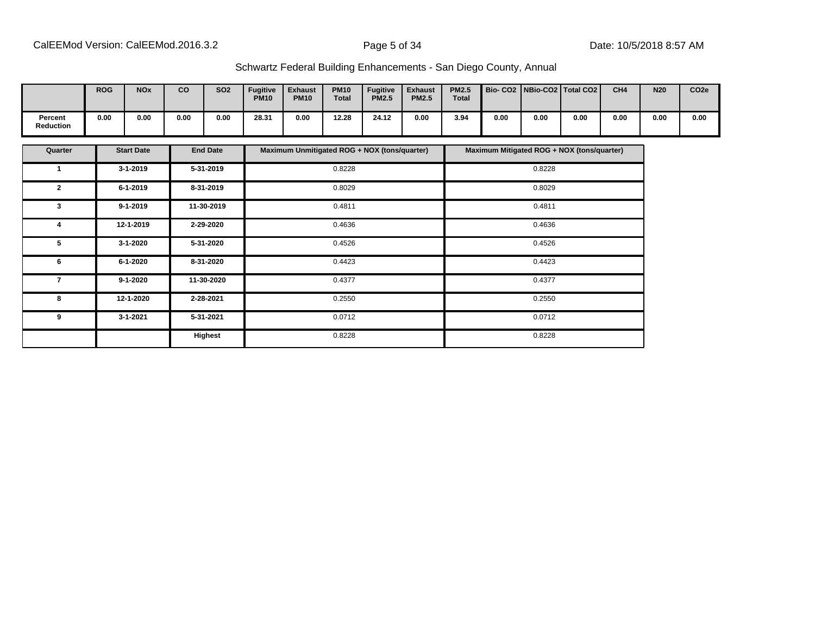|                      | <b>ROG</b> | <b>NO<sub>x</sub></b> | co   | <b>SO2</b> | <b>Fugitive</b><br><b>PM10</b> | <b>Exhaust</b><br><b>PM10</b> | <b>PM10</b><br><b>Total</b> | <b>Fugitive</b><br><b>PM2.5</b> | <b>Exhaust</b><br><b>PM2.5</b> | <b>PM2.5</b><br><b>Total</b> | Bio-CO2 NBio-CO2 Total CO2 |      |      | CH <sub>4</sub> | <b>N20</b> | CO <sub>2e</sub> |
|----------------------|------------|-----------------------|------|------------|--------------------------------|-------------------------------|-----------------------------|---------------------------------|--------------------------------|------------------------------|----------------------------|------|------|-----------------|------------|------------------|
| Percent<br>Reduction | 0.00       | 0.00                  | 0.00 | 0.00       | 28.31                          | 0.00                          | 12.28                       | 24.12                           | 0.00                           | 3.94                         | 0.00                       | 0.00 | 0.00 | 0.00            | 0.00       | 0.00             |

| Quarter      | <b>Start Date</b> | <b>End Date</b> | Maximum Unmitigated ROG + NOX (tons/quarter) | Maximum Mitigated ROG + NOX (tons/quarter) |
|--------------|-------------------|-----------------|----------------------------------------------|--------------------------------------------|
| 1            | $3 - 1 - 2019$    | 5-31-2019       | 0.8228                                       | 0.8228                                     |
| $\mathbf{2}$ | $6 - 1 - 2019$    | 8-31-2019       | 0.8029                                       | 0.8029                                     |
| 3            | $9 - 1 - 2019$    | 11-30-2019      | 0.4811                                       | 0.4811                                     |
| 4            | 12-1-2019         | 2-29-2020       | 0.4636                                       | 0.4636                                     |
| 5            | $3-1-2020$        | 5-31-2020       | 0.4526                                       | 0.4526                                     |
| 6            | 6-1-2020          | 8-31-2020       | 0.4423                                       | 0.4423                                     |
| 7            | $9 - 1 - 2020$    | 11-30-2020      | 0.4377                                       | 0.4377                                     |
| 8            | 12-1-2020         | 2-28-2021       | 0.2550                                       | 0.2550                                     |
| 9            | $3 - 1 - 2021$    | 5-31-2021       | 0.0712                                       | 0.0712                                     |
|              |                   | Highest         | 0.8228                                       | 0.8228                                     |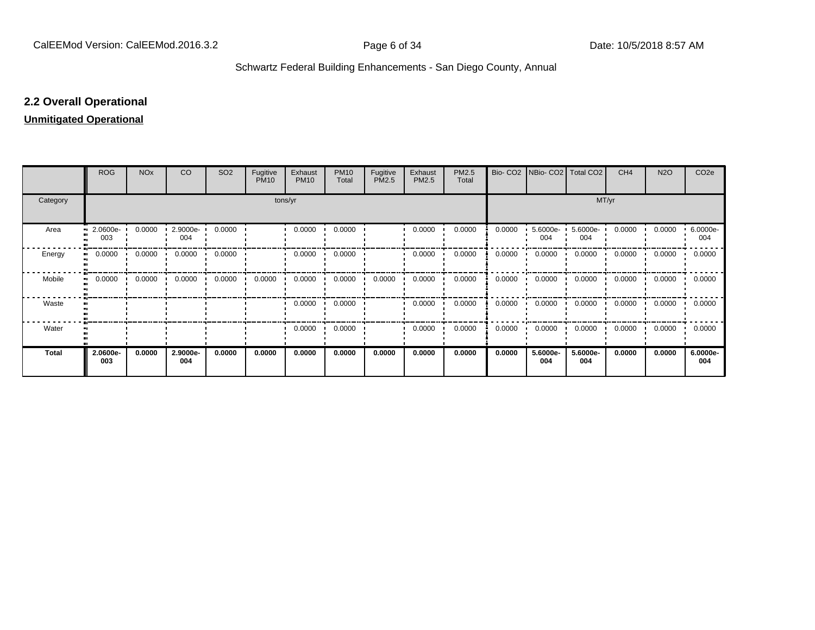## **2.2 Overall Operational**

## **Unmitigated Operational**

|              | <b>ROG</b>            | <b>NO<sub>x</sub></b> | <b>CO</b>       | SO <sub>2</sub> | Fugitive<br><b>PM10</b> | Exhaust<br><b>PM10</b> | <b>PM10</b><br>Total | Fugitive<br>PM2.5 | Exhaust<br>PM2.5 | PM2.5<br>Total |        | Bio- CO2   NBio- CO2   Total CO2 |                 | CH <sub>4</sub> | <b>N2O</b> | CO <sub>2e</sub> |
|--------------|-----------------------|-----------------------|-----------------|-----------------|-------------------------|------------------------|----------------------|-------------------|------------------|----------------|--------|----------------------------------|-----------------|-----------------|------------|------------------|
| Category     |                       |                       |                 |                 | tons/yr                 |                        |                      | MT/yr             |                  |                |        |                                  |                 |                 |            |                  |
| Area         | 2.0600e-<br>.,<br>003 | 0.0000                | 2.9000e-<br>004 | 0.0000          |                         | 0.0000                 | 0.0000               |                   | 0.0000           | 0.0000         | 0.0000 | $5.6000e -$<br>004               | 5.6000e-<br>004 | 0.0000          | 0.0000     | 6.0000e-<br>004  |
| Energy       | 0.0000<br>            | 0.0000                | 0.0000          | 0.0000          |                         | 0.0000                 | 0.0000               |                   | 0.0000           | 0.0000         | 0.0000 | 0.0000                           | 0.0000          | 0.0000          | 0.0000     | 0.0000           |
| Mobile       | 0.0000<br>.,          | 0.0000                | 0.0000          | 0.0000          | 0.0000                  | 0.0000                 | 0.0000               | 0.0000            | 0.0000           | 0.0000         | 0.0000 | 0.0000                           | 0.0000          | 0.0000          | 0.0000     | 0.0000           |
| Waste        |                       |                       |                 |                 |                         | 0.0000                 | 0.0000               |                   | 0.0000           | 0.0000         | 0.0000 | 0.0000                           | 0.0000          | 0.0000          | 0.0000     | 0.0000           |
| Water        |                       |                       |                 |                 |                         | 0.0000                 | 0.0000               |                   | 0.0000           | 0.0000         | 0.0000 | 0.0000                           | 0.0000          | 0.0000          | 0.0000     | 0.0000           |
| <b>Total</b> | 2.0600e-<br>003       | 0.0000                | 2.9000e-<br>004 | 0.0000          | 0.0000                  | 0.0000                 | 0.0000               | 0.0000            | 0.0000           | 0.0000         | 0.0000 | 5.6000e-<br>004                  | 5.6000e-<br>004 | 0.0000          | 0.0000     | 6.0000e-<br>004  |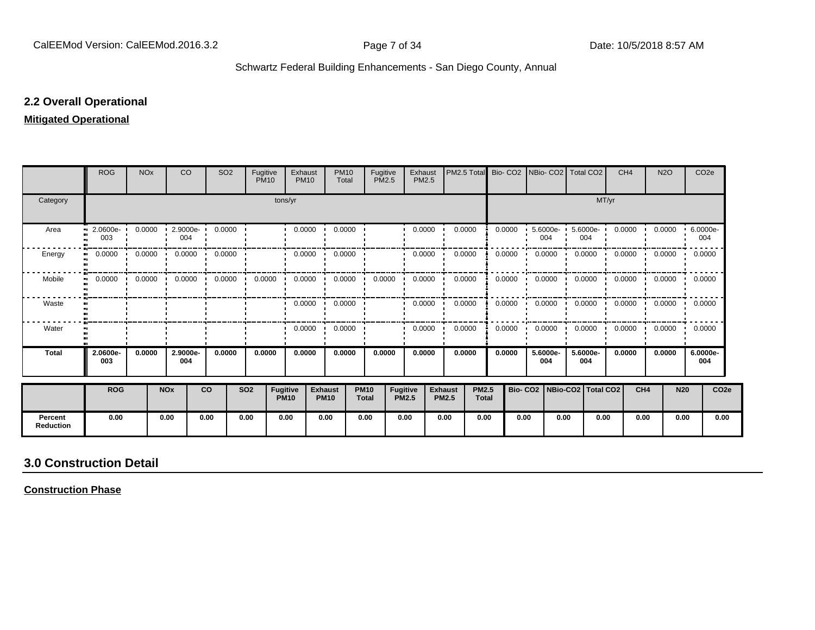### **2.2 Overall Operational**

#### **Mitigated Operational**

|                             | <b>ROG</b>      | <b>NO<sub>x</sub></b> |            | CO              | SO <sub>2</sub> | Fugitive<br><b>PM10</b> |                                | Exhaust<br><b>PM10</b>  | <b>PM10</b><br>Total          |                             | Fugitive<br><b>PM2.5</b> | Exhaust<br><b>PM2.5</b> | PM2.5 Total                    |                              | Bio-CO <sub>2</sub> |                                 |                                    | NBio-CO2   Total CO2 |       | CH <sub>4</sub> | <b>N2O</b>                 |            | CO <sub>2e</sub> |
|-----------------------------|-----------------|-----------------------|------------|-----------------|-----------------|-------------------------|--------------------------------|-------------------------|-------------------------------|-----------------------------|--------------------------|-------------------------|--------------------------------|------------------------------|---------------------|---------------------------------|------------------------------------|----------------------|-------|-----------------|----------------------------|------------|------------------|
| Category                    |                 |                       |            |                 |                 |                         | tons/yr                        |                         |                               |                             |                          |                         |                                |                              |                     |                                 |                                    |                      | MT/yr |                 |                            |            |                  |
| Area                        | 2.0600e-<br>003 | 0.0000                |            | 2.9000e-<br>004 | 0.0000          |                         |                                | 0.0000                  | 0.0000                        |                             |                          | 0.0000                  | 0.0000                         |                              | 0.0000              |                                 | $5.6000e -$<br>004                 | 5.6000e-<br>004      |       | 0.0000          | 0.0000                     | 6.0000e-   | 004              |
| Energy                      | 0.0000          | 0.0000                |            | 0.0000          | 0.0000          |                         |                                | 0.0000                  | 0.0000                        |                             |                          | 0.0000                  | 0.0000                         |                              | 0.0000              |                                 | 0.0000                             | 0.0000               |       | 0.0000          | 0.0000                     | 0.0000     |                  |
| Mobile                      | 0.0000          | 0.0000                |            | 0.0000          | 0.0000          | 0.0000                  |                                | 0.0000                  | 0.0000                        |                             | 0.0000                   | 0.0000                  | 0.0000                         |                              | 0.0000              |                                 | 0.0000                             | 0.0000               |       |                 | $0.0000$ $0.0000$ $0.0000$ |            |                  |
| Waste                       |                 |                       |            |                 |                 |                         |                                | $0.0000$ $\blacksquare$ | 0.0000                        |                             |                          | 0.0000                  | 0.0000                         |                              | 0.0000              |                                 | 0.0000<br>$\overline{\phantom{a}}$ | 0.0000               | . .   |                 | $0.0000$ $0.0000$ $0.0000$ |            |                  |
| Water                       |                 |                       |            |                 |                 |                         |                                | 0.0000                  | 0.0000                        |                             |                          | 0.0000                  | 0.0000                         |                              | 0.0000              |                                 | 0.0000                             | 0.0000               |       | 0.0000          | 0.0000                     | 0.0000     |                  |
| <b>Total</b>                | 2.0600e-<br>003 | 0.0000                |            | 2.9000e-<br>004 | 0.0000          | 0.0000                  |                                | 0.0000                  | 0.0000                        |                             | 0.0000                   | 0.0000                  | 0.0000                         |                              | 0.0000              |                                 | 5.6000e-<br>004                    | 5.6000e-<br>004      |       | 0.0000          | 0.0000                     |            | 6.0000e-<br>004  |
|                             | <b>ROG</b>      |                       | <b>NOx</b> |                 | co              | <b>SO2</b>              | <b>Fugitive</b><br><b>PM10</b> |                         | <b>Exhaust</b><br><b>PM10</b> | <b>PM10</b><br><b>Total</b> | Fugitive<br><b>PM2.5</b> |                         | <b>Exhaust</b><br><b>PM2.5</b> | <b>PM2.5</b><br><b>Total</b> |                     | Bio- CO2   NBio-CO2   Total CO2 |                                    |                      |       | CH <sub>4</sub> |                            | <b>N20</b> | CO <sub>2e</sub> |
| Percent<br><b>Reduction</b> | 0.00            |                       | 0.00       | 0.00            |                 | 0.00                    | 0.00                           |                         | 0.00                          | 0.00                        | 0.00                     |                         | 0.00                           | 0.00                         |                     | 0.00                            | 0.00                               |                      | 0.00  | 0.00            |                            | 0.00       | 0.00             |

## **3.0 Construction Detail**

**Construction Phase**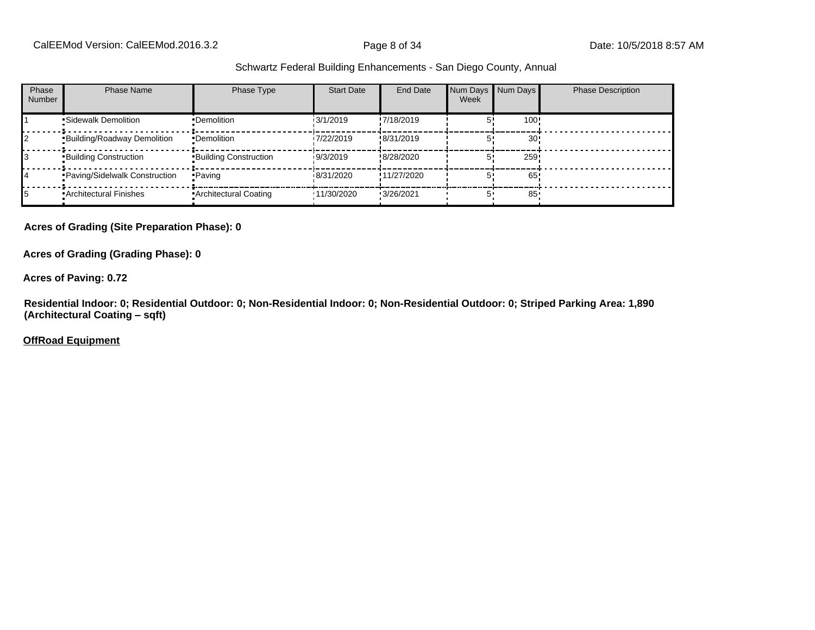| Phase<br><b>Number</b> | Phase Name                         | Phase Type                   | <b>Start Date</b> | End Date    | Num Days Num Days<br>Week |      | <b>Phase Description</b> |
|------------------------|------------------------------------|------------------------------|-------------------|-------------|---------------------------|------|--------------------------|
|                        | •Sidewalk Demolition               | •Demolition                  | 13/1/2019         | !7/18/2019  |                           | 100! |                          |
|                        | <b>Building/Roadway Demolition</b> | •Demolition                  | 17/22/2019        | !8/31/2019  |                           | 30!  |                          |
|                        | <b>Building Construction</b>       | <b>Building Construction</b> | 19/3/2019         | !8/28/2020  |                           | 259: |                          |
| 14                     | Paving/Sidelwalk Construction      | • Paving                     | 8/31/2020         | !11/27/2020 |                           | 65   |                          |
|                        | • Architectural Finishes           | • Architectural Coating      | '11/30/2020       | 13/26/2021  |                           | 85   |                          |

#### **Acres of Grading (Site Preparation Phase): 0**

**Acres of Grading (Grading Phase): 0**

#### **Acres of Paving: 0.72**

**Residential Indoor: 0; Residential Outdoor: 0; Non-Residential Indoor: 0; Non-Residential Outdoor: 0; Striped Parking Area: 1,890 (Architectural Coating ±sqft)**

#### **OffRoad Equipment**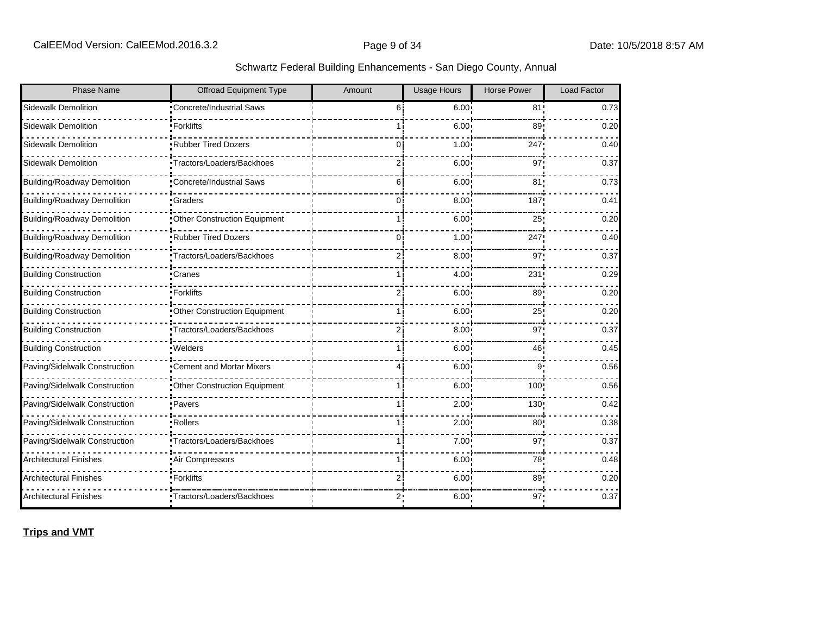| <b>Phase Name</b>                  | <b>Offroad Equipment Type</b>    | Amount | <b>Usage Hours</b> | <b>Horse Power</b> | Load Factor |
|------------------------------------|----------------------------------|--------|--------------------|--------------------|-------------|
| <b>Sidewalk Demolition</b>         | Concrete/Industrial Saws         | 6 i    | $6.00 \cdot$       | 81'                | 0.73        |
| <b>Sidewalk Demolition</b>         | •Forklifts                       | 11     | 6.00 <sup>1</sup>  | 89                 | 0.20        |
| Sidewalk Demolition                | Rubber Tired Dozers              | Ωi     | 1.00 <sub>1</sub>  | 247                | 0.40        |
| Sidewalk Demolition                | Tractors/Loaders/Backhoes        |        | 6.00               | 97                 | 0.37        |
| <b>Building/Roadway Demolition</b> | <b>*Concrete/Industrial Saws</b> | 6i     | 6.00               | 81                 | 0.73        |
| <b>Building/Roadway Demolition</b> | •Graders                         | 0 i    | 8.00               | 187'               | 0.41        |
| <b>Building/Roadway Demolition</b> | Other Construction Equipment     |        | 6.00:              | 25                 | 0.20        |
| <b>Building/Roadway Demolition</b> | Rubber Tired Dozers              | 0 i    | 1.00               | 247                | 0.40        |
| <b>Building/Roadway Demolition</b> | Tractors/Loaders/Backhoes        | 2      | 8.00               | 97                 | 0.37        |
| <b>Building Construction</b>       | Cranes                           | 1 i    | 4.00               | 231                | 0.29        |
| <b>Building Construction</b>       | •Forklifts                       | 2i     | 6.00               | 89                 | 0.20        |
| <b>Building Construction</b>       | Other Construction Equipment     |        | 6.00               | 25                 | 0.20        |
| <b>Building Construction</b>       | Tractors/Loaders/Backhoes        | 2      | 8.00               | 97                 | 0.37        |
| <b>Building Construction</b>       | ·Welders                         |        | 6.00               | 46                 | 0.45        |
| Paving/Sidelwalk Construction      | Cement and Mortar Mixers         | 4      | $6.00$ !           | 9'                 | 0.56        |
| Paving/Sidelwalk Construction      | Other Construction Equipment     |        | 6.00 <sup>1</sup>  | 100!               | 0.56        |
| Paving/Sidelwalk Construction      | •Pavers                          |        | 2.00 <sup>1</sup>  | 130 <sub>1</sub>   | 0.42        |
| Paving/Sidelwalk Construction      | ·Rollers                         |        | 2.00 <sup>1</sup>  | 80 <sub>1</sub>    | 0.38        |
| Paving/Sidelwalk Construction      | Tractors/Loaders/Backhoes        |        | 7.00               | 97                 | 0.37        |
| <b>Architectural Finishes</b>      | Air Compressors                  |        | $6.00$ !           | 78                 | 0.48        |
| <b>Architectural Finishes</b>      | • Forklifts                      |        | 6.00               | 89!                | 0.20        |
| <b>Architectural Finishes</b>      | Tractors/Loaders/Backhoes        |        | 6.00:              | 97'                | 0.37        |

**Trips and VMT**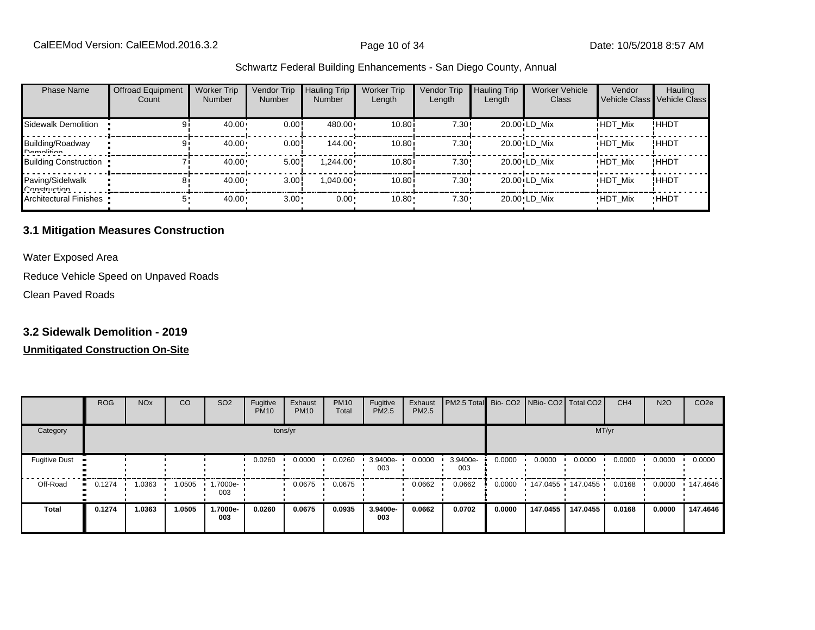| <b>Phase Name</b>                | <b>Offroad Equipment</b><br>Count | <b>Worker Trip</b><br><b>Number</b> | Vendor Trip<br><b>Number</b> | <b>Hauling Trip</b><br><b>Number</b> | <b>Worker Trip</b><br>Length | Vendor Trip<br>Length | <b>Hauling Trip</b><br>Length | <b>Worker Vehicle</b><br>Class | Vendor         | Hauling<br>Vehicle Class Vehicle Class |
|----------------------------------|-----------------------------------|-------------------------------------|------------------------------|--------------------------------------|------------------------------|-----------------------|-------------------------------|--------------------------------|----------------|----------------------------------------|
| <b>Sidewalk Demolition</b>       |                                   | 40.00                               | 0.00!                        | 480.00                               | 10.80i                       | 7.30!                 |                               | $20.00$ LD Mix                 | <b>HDT Mix</b> | !HHDT                                  |
| Building/Roadway<br>Namolition   |                                   | 40.00                               | 0.00                         | $144.00 \cdot$                       | 10.80i                       | 7.30!                 |                               | $20.00$ LD Mix                 | <b>HDT Mix</b> | ! ННDТ                                 |
| <b>Building Construction</b>     |                                   | 40.00                               | 5.00                         | $1.244.00 \cdot$                     | 10.80i                       | 7.30!                 |                               | $20.00$ LD Mix                 | <b>HDT Mix</b> | <b>HHDT</b>                            |
| Paving/Sidelwalk<br>Conetruction | 81                                | 40.00                               | 3.00                         | $1.040.00 \cdot$                     | 10.80i                       | 7.30!                 |                               | $20.00$ LD Mix                 | <b>HDT Mix</b> | ! ННDТ                                 |
| Architectural Finishes           |                                   | 40.00                               | $3.00 -$                     | $0.00 \cdot$                         | 10.80                        | $7.30 -$              |                               | 20.00 LD Mix                   | <b>HDT Mix</b> | <b>HHDT</b>                            |

### **3.1 Mitigation Measures Construction**

Water Exposed Area

Reduce Vehicle Speed on Unpaved Roads

Clean Paved Roads

#### **3.2 Sidewalk Demolition - 2019**

|                      | <b>ROG</b>   | <b>NO<sub>x</sub></b> | CO     | SO <sub>2</sub> | Fugitive<br><b>PM10</b> | Exhaust<br><b>PM10</b> | <b>PM10</b><br>Total | Fugitive<br><b>PM2.5</b> | Exhaust<br>PM2.5 | PM2.5 Total Bio- CO2 NBio- CO2 Total CO2 |        |          |                     | CH <sub>4</sub> | <b>N2O</b> | CO <sub>2e</sub> |
|----------------------|--------------|-----------------------|--------|-----------------|-------------------------|------------------------|----------------------|--------------------------|------------------|------------------------------------------|--------|----------|---------------------|-----------------|------------|------------------|
| Category             |              |                       |        |                 |                         | tons/yr                |                      |                          |                  |                                          |        |          | MT/yr               |                 |            |                  |
| <b>Fugitive Dust</b> |              |                       |        |                 | 0.0260                  | 0.0000                 | 0.0260               | 3.9400e-<br>003          | 0.0000           | 3.9400e-<br>003                          | 0.0000 | 0.0000   | 0.0000              | 0.0000          | 0.0000     | 0.0000           |
| Off-Road             | 0.1274<br>ш. | 1.0363                | 1.0505 | -7000e-<br>003  |                         | 0.0675                 | 0.0675               |                          | 0.0662           | 0.0662                                   | 0.0000 |          | 147.0455 147.0455 ' | 0.0168          | 0.0000     | 147.4646         |
| <b>Total</b>         | 0.1274       | 1.0363                | 1.0505 | 1.7000e-<br>003 | 0.0260                  | 0.0675                 | 0.0935               | 3.9400e-<br>003          | 0.0662           | 0.0702                                   | 0.0000 | 147.0455 | 147.0455            | 0.0168          | 0.0000     | 147.4646         |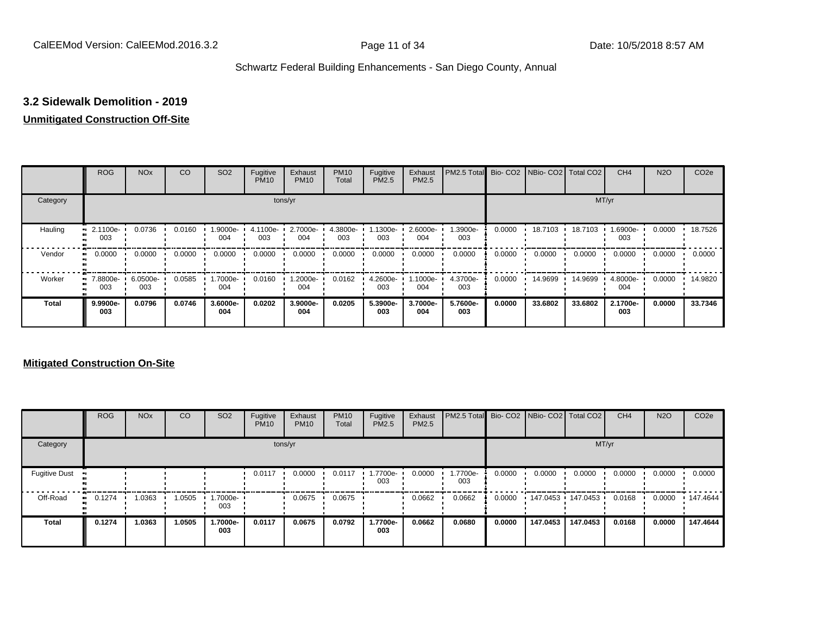## **3.2 Sidewalk Demolition - 2019**

#### **Unmitigated Construction Off-Site**

|              | <b>ROG</b>          | <b>NO<sub>x</sub></b> | CO     | SO <sub>2</sub> | Fugitive<br><b>PM10</b> | Exhaust<br><b>PM10</b> | <b>PM10</b><br>Total | Fugitive<br><b>PM2.5</b> | Exhaust<br>PM2.5 | PM2.5 Total Bio- CO2 NBio- CO2 Total CO2 |        |         |         | CH <sub>4</sub> | <b>N2O</b> | CO <sub>2e</sub> |
|--------------|---------------------|-----------------------|--------|-----------------|-------------------------|------------------------|----------------------|--------------------------|------------------|------------------------------------------|--------|---------|---------|-----------------|------------|------------------|
| Category     |                     |                       |        |                 | tons/yr                 |                        |                      |                          |                  |                                          |        |         | MT/yr   |                 |            |                  |
| Hauling      | 2.1100e-<br>003     | 0.0736                | 0.0160 | -9000e-<br>004  | 4.1100e-<br>003         | 2.7000e-<br>004        | 4.3800e-<br>003      | 1.1300e-<br>003          | 2.6000e-<br>004  | 1.3900e-<br>003                          | 0.0000 | 18.7103 | 18.7103 | 1.6900e-<br>003 | 0.0000     | 18.7526          |
| Vendor       | 0.0000<br>$\bullet$ | 0.0000                | 0.0000 | 0.0000          | 0.0000                  | 0.0000                 | 0.0000               | 0.0000                   | 0.0000           | 0.0000                                   | 0.0000 | 0.0000  | 0.0000  | 0.0000          | 0.0000     | 0.0000           |
| Worker       | 7.8800e-<br><br>003 | 6.0500e-<br>003       | 0.0585 | .7000e-<br>004  | 0.0160                  | 1.2000e-<br>004        | 0.0162               | 4.2600e-<br>003          | 1.1000e-<br>004  | 4.3700e-<br>003                          | 0.0000 | 14.9699 | 14.9699 | 4.8000e-<br>004 | 0.0000     | 14.9820          |
| <b>Total</b> | 9.9900e-<br>003     | 0.0796                | 0.0746 | 3.6000e-<br>004 | 0.0202                  | 3.9000e-<br>004        | 0.0205               | 5.3900e-<br>003          | 3.7000e-<br>004  | 5.7600e-<br>003                          | 0.0000 | 33.6802 | 33.6802 | 2.1700e-<br>003 | 0.0000     | 33.7346          |

|                      | <b>ROG</b>    | <b>NO<sub>x</sub></b> | <b>CO</b> | SO <sub>2</sub> | Fugitive<br><b>PM10</b> | Exhaust<br><b>PM10</b> | <b>PM10</b><br>Total | Fugitive<br><b>PM2.5</b> | Exhaust<br><b>PM2.5</b> | <b>PM2.5 Total</b> Bio- CO2 NBio- CO2 Total CO2 |        |                   |          | CH <sub>4</sub> | <b>N2O</b> | CO <sub>2e</sub> |
|----------------------|---------------|-----------------------|-----------|-----------------|-------------------------|------------------------|----------------------|--------------------------|-------------------------|-------------------------------------------------|--------|-------------------|----------|-----------------|------------|------------------|
| Category             |               |                       |           |                 |                         | tons/yr                |                      |                          |                         |                                                 |        |                   | MT/yr    |                 |            |                  |
| <b>Fugitive Dust</b> |               |                       |           |                 | 0.0117                  | 0.0000                 | 0.0117               | 1.7700e-<br>003          | 0.0000                  | 1.7700e-<br>003                                 | 0.0000 | 0.0000            | 0.0000   | 0.0000          | 0.0000     | 0.0000           |
| Off-Road             | 0.1274<br>. . | 1.0363                | 1.0505    | 1.7000e-<br>003 |                         | 0.0675                 | 0.0675               |                          | 0.0662                  | 0.0662                                          | 0.0000 | 147.0453 147.0453 |          | 0.0168          | 0.0000     | 147.4644         |
| <b>Total</b>         | 0.1274        | 1.0363                | 1.0505    | 1.7000e-<br>003 | 0.0117                  | 0.0675                 | 0.0792               | 1.7700e-<br>003          | 0.0662                  | 0.0680                                          | 0.0000 | 147.0453          | 147.0453 | 0.0168          | 0.0000     | 147.4644         |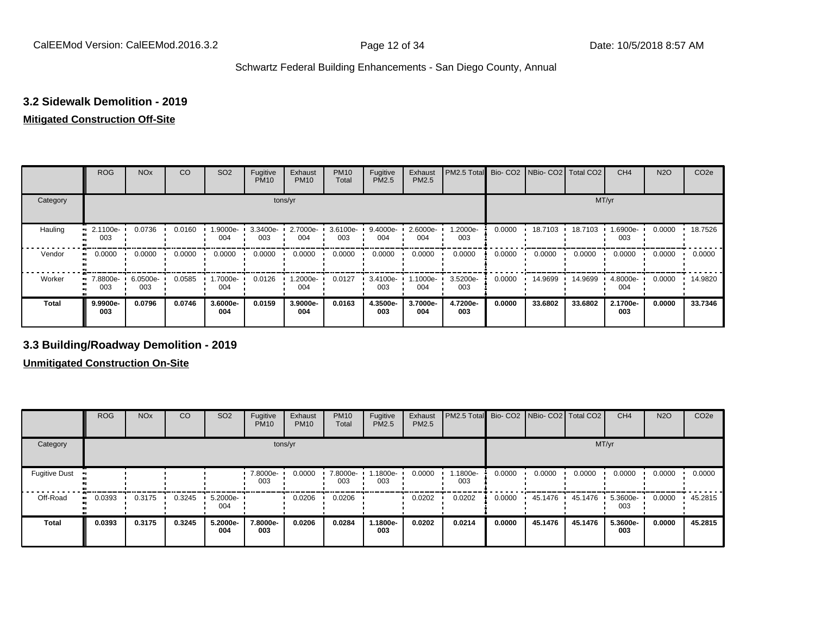#### **3.2 Sidewalk Demolition - 2019**

#### **Mitigated Construction Off-Site**

|                           | <b>ROG</b>          | <b>NO<sub>x</sub></b> | CO     | SO <sub>2</sub>              | Fugitive<br><b>PM10</b> | Exhaust<br><b>PM10</b> | <b>PM10</b><br>Total | Fugitive<br><b>PM2.5</b> | Exhaust<br>PM2.5 | PM2.5 Total Bio- CO2 NBio- CO2 Total CO2 |        |         |         | CH <sub>4</sub> | <b>N2O</b> | CO <sub>2e</sub> |
|---------------------------|---------------------|-----------------------|--------|------------------------------|-------------------------|------------------------|----------------------|--------------------------|------------------|------------------------------------------|--------|---------|---------|-----------------|------------|------------------|
| Category                  |                     |                       |        |                              |                         | tons/yr                |                      |                          |                  |                                          |        |         | MT/yr   |                 |            |                  |
| Hauling<br>$\blacksquare$ | 2.1100e-<br>003     | 0.0736                | 0.0160 | 1.9000e- <sup>1</sup><br>004 | 3.3400e-<br>003         | 2.7000e-<br>004        | 3.6100e<br>003       | 9.4000e-<br>004          | 2.6000e-<br>004  | 1.2000e-<br>003                          | 0.0000 | 18.7103 | 18.7103 | 1.6900e-<br>003 | 0.0000     | 18.7526          |
| Vendor                    | 0.0000<br>$\bullet$ | 0.0000                | 0.0000 | 0.0000                       | 0.0000                  | 0.0000                 | 0.0000               | 0.0000                   | 0.0000           | 0.0000                                   | 0.0000 | 0.0000  | 0.0000  | 0.0000          | 0.0000     | 0.0000           |
| Worker<br>$\bullet$       | 7.8800e-<br>003     | 6.0500e-<br>003       | 0.0585 | -.7000e<br>004               | 0.0126                  | -2000e.<br>004         | 0.0127               | 3.4100e-<br>003          | -.1000e<br>004   | 3.5200e-<br>003                          | 0.0000 | 14.9699 | 14.9699 | 4.8000e-<br>004 | 0.0000     | 14.9820          |
| <b>Total</b>              | 9.9900e-<br>003     | 0.0796                | 0.0746 | 3.6000e-<br>004              | 0.0159                  | 3.9000e-<br>004        | 0.0163               | 4.3500e-<br>003          | 3.7000e-<br>004  | 4.7200e-<br>003                          | 0.0000 | 33.6802 | 33.6802 | 2.1700e-<br>003 | 0.0000     | 33.7346          |

## **3.3 Building/Roadway Demolition - 2019**

|                       | <b>ROG</b> | <b>NO<sub>x</sub></b> | CO     | SO <sub>2</sub>   | Fugitive<br><b>PM10</b> | Exhaust<br><b>PM10</b> | <b>PM10</b><br>Total | Fugitive<br><b>PM2.5</b> | Exhaust<br>PM2.5 | PM2.5 Total Bio- CO2 NBio- CO2 Total CO2 |        |         |         | CH <sub>4</sub> | <b>N2O</b> | CO <sub>2e</sub> |
|-----------------------|------------|-----------------------|--------|-------------------|-------------------------|------------------------|----------------------|--------------------------|------------------|------------------------------------------|--------|---------|---------|-----------------|------------|------------------|
| Category              |            |                       |        |                   | tons/yr                 |                        |                      |                          |                  |                                          |        |         | MT/yr   |                 |            |                  |
| <b>Fugitive Dust</b>  |            |                       |        |                   | 7.8000e-<br>003         | 0.0000                 | 7.8000e-<br>003      | $.1800e-$<br>003         | 0.0000           | 1.1800e-<br>003                          | 0.0000 | 0.0000  | 0.0000  | 0.0000          | 0.0000     | 0.0000           |
| Off-Road<br>$\bullet$ | 0.0393     | 0.3175                | 0.3245 | $5.2000e-$<br>004 |                         | 0.0206                 | 0.0206               |                          | 0.0202           | 0.0202                                   | 0.0000 | 45.1476 | 45.1476 | 5.3600e-<br>003 | 0.0000     | 45.2815          |
| <b>Total</b>          | 0.0393     | 0.3175                | 0.3245 | 5.2000e-<br>004   | 7.8000e-<br>003         | 0.0206                 | 0.0284               | 1.1800e-<br>003          | 0.0202           | 0.0214                                   | 0.0000 | 45.1476 | 45.1476 | 5.3600e-<br>003 | 0.0000     | 45.2815          |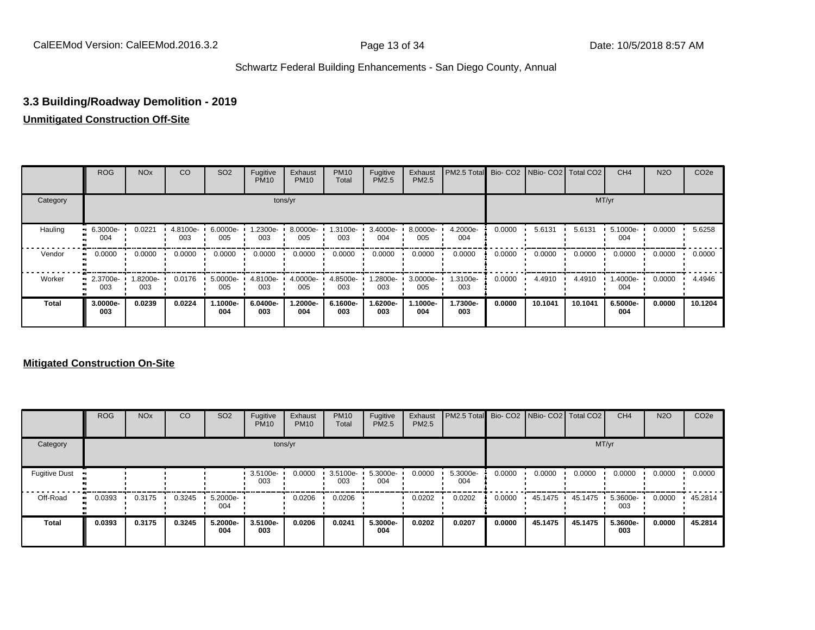## **3.3 Building/Roadway Demolition - 2019**

## **Unmitigated Construction Off-Site**

|          | <b>ROG</b>      | <b>NO<sub>x</sub></b> | CO              | SO <sub>2</sub> | Fugitive<br><b>PM10</b> | Exhaust<br><b>PM10</b> | <b>PM10</b><br>Total | Fugitive<br><b>PM2.5</b> | Exhaust<br>PM2.5 | PM2.5 Total Bio- CO2 NBio- CO2 Total CO2 |        |         |         | CH <sub>4</sub> | <b>N2O</b> | CO <sub>2e</sub> |
|----------|-----------------|-----------------------|-----------------|-----------------|-------------------------|------------------------|----------------------|--------------------------|------------------|------------------------------------------|--------|---------|---------|-----------------|------------|------------------|
| Category |                 |                       |                 |                 |                         | tons/yr                |                      |                          |                  |                                          |        |         |         | MT/yr           |            |                  |
| Hauling  | 6.3000e-<br>004 | 0.0221                | 4.8100e-<br>003 | 6.0000e-<br>005 | -2300e-<br>003          | 8.0000e-<br>005        | 1.3100e<br>003       | 3.4000e-<br>004          | 8.0000e-<br>005  | 4.2000e-<br>004                          | 0.0000 | 5.6131  | 5.6131  | 5.1000e-<br>004 | 0.0000     | 5.6258           |
| Vendor   | 0.0000          | 0.0000                | 0.0000          | 0.0000          | 0.0000                  | 0.0000                 | 0.0000               | 0.0000                   | 0.0000           | 0.0000                                   | 0.0000 | 0.0000  | 0.0000  | 0.0000          | 0.0000     | 0.0000           |
| Worker   | 2.3700e-<br>003 | -.8200e<br>003        | 0.0176          | 5.0000e-<br>005 | 4.8100e-<br>003         | 4.0000e-<br>005        | 4.8500e-<br>003      | .2800e-<br>003           | 3.0000e-<br>005  | 1.3100e-<br>003                          | 0.0000 | 4.4910  | 4.4910  | .4000e-<br>004  | 0.0000     | 4.4946           |
| Total    | 3.0000e-<br>003 | 0.0239                | 0.0224          | 1.1000e-<br>004 | 6.0400e-<br>003         | 1.2000e-<br>004        | 6.1600e-<br>003      | 1.6200e-<br>003          | 1.1000e-<br>004  | 1.7300e-<br>003                          | 0.0000 | 10.1041 | 10.1041 | 6.5000e-<br>004 | 0.0000     | 10.1204          |

|                      | <b>ROG</b>   | <b>NO<sub>x</sub></b> | CO     | SO <sub>2</sub> | Fugitive<br><b>PM10</b> | Exhaust<br><b>PM10</b> | <b>PM10</b><br>Total | Fugitive<br>PM2.5 | Exhaust<br>PM2.5 | PM2.5 Total Bio- CO2 NBio- CO2 Total CO2 |        |         |         | CH <sub>4</sub> | <b>N2O</b> | CO <sub>2e</sub> |
|----------------------|--------------|-----------------------|--------|-----------------|-------------------------|------------------------|----------------------|-------------------|------------------|------------------------------------------|--------|---------|---------|-----------------|------------|------------------|
| Category             |              |                       |        |                 |                         | tons/yr                |                      |                   |                  |                                          |        |         | MT/yr   |                 |            |                  |
| <b>Fugitive Dust</b> |              |                       |        |                 | 3.5100e-<br>003         | 0.0000                 | 3.5100e-<br>003      | 5.3000e-<br>004   | 0.0000           | 5.3000e-<br>004                          | 0.0000 | 0.0000  | 0.0000  | 0.0000          | 0.0000     | 0.0000           |
| Off-Road             | 0.0393<br>ш. | 0.3175                | 0.3245 | 5.2000e-<br>004 |                         | 0.0206                 | 0.0206               |                   | 0.0202           | 0.0202                                   | 0.0000 | 45.1475 | 45.1475 | 5.3600e-<br>003 | 0.0000     | 45.2814          |
| <b>Total</b>         | 0.0393       | 0.3175                | 0.3245 | 5.2000e-<br>004 | 3.5100e-<br>003         | 0.0206                 | 0.0241               | 5.3000e-<br>004   | 0.0202           | 0.0207                                   | 0.0000 | 45.1475 | 45.1475 | 5.3600e-<br>003 | 0.0000     | 45.2814          |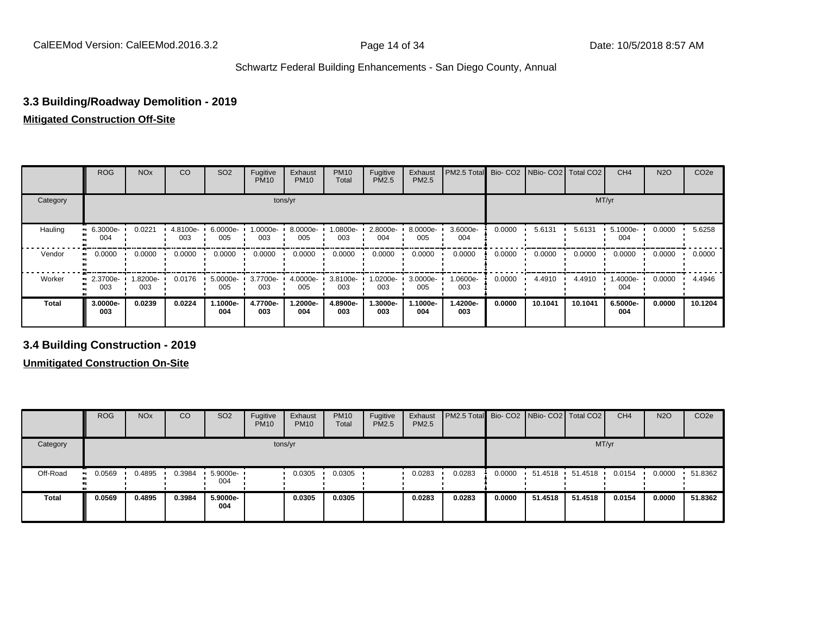## **3.3 Building/Roadway Demolition - 2019**

#### **Mitigated Construction Off-Site**

|              | <b>ROG</b>          | <b>NO<sub>x</sub></b> | CO                | SO <sub>2</sub> | Fugitive<br><b>PM10</b> | Exhaust<br><b>PM10</b> | <b>PM10</b><br>Total | Fugitive<br><b>PM2.5</b> | Exhaust<br>PM2.5 | PM2.5 Total Bio- CO2 NBio- CO2 Total CO2 |        |         |         | CH <sub>4</sub> | <b>N2O</b> | CO <sub>2e</sub> |
|--------------|---------------------|-----------------------|-------------------|-----------------|-------------------------|------------------------|----------------------|--------------------------|------------------|------------------------------------------|--------|---------|---------|-----------------|------------|------------------|
| Category     |                     |                       |                   |                 |                         | tons/yr                |                      |                          |                  |                                          |        |         | MT/yr   |                 |            |                  |
| Hauling<br>œ | 6.3000e-<br>004     | 0.0221                | 4.8100e- '<br>003 | 6.0000e-<br>005 | 1.0000e-<br>003         | 8.0000e-<br>005        | 1.0800e-<br>003      | 2.8000e-<br>004          | 8.0000e-<br>005  | 3.6000e-<br>004                          | 0.0000 | 5.6131  | 5.6131  | 5.1000e-<br>004 | 0.0000     | 5.6258           |
| Vendor       | 0.0000<br>$\bullet$ | 0.0000                | 0.0000            | 0.0000          | 0.0000                  | 0.0000                 | 0.0000               | 0.0000                   | 0.0000           | 0.0000                                   | 0.0000 | 0.0000  | 0.0000  | 0.0000          | 0.0000     | 0.0000           |
| Worker<br>m  | 2.3700e-<br>003     | 1.8200e-<br>003       | 0.0176            | 5.0000e-<br>005 | 3.7700e-<br>003         | 4.0000e-<br>005        | 3.8100e-<br>003      | 1.0200e-<br>003          | 3.0000e-<br>005  | 1.0600e-<br>003                          | 0.0000 | 4.4910  | 4.4910  | 1.4000e-<br>004 | 0.0000     | 4.4946           |
| Total        | 3.0000e-<br>003     | 0.0239                | 0.0224            | .1000e-<br>004  | 4.7700e-<br>003         | 1.2000e-<br>004        | 4.8900e-<br>003      | 1.3000e-<br>003          | -1000e-<br>004   | 1.4200e-<br>003                          | 0.0000 | 10.1041 | 10.1041 | 6.5000e-<br>004 | 0.0000     | 10.1204          |

**3.4 Building Construction - 2019**

|              | <b>ROG</b>          | <b>NO<sub>x</sub></b> | CO     | SO <sub>2</sub> | Fugitive<br><b>PM10</b> | Exhaust<br><b>PM10</b> | <b>PM10</b><br>Total | Fugitive<br><b>PM2.5</b> | Exhaust<br>PM2.5 | <b>PM2.5 Total Bio-CO2 NBio-CO2 Total CO2</b> |        |         |         | CH <sub>4</sub> | <b>N2O</b> | CO <sub>2e</sub> |
|--------------|---------------------|-----------------------|--------|-----------------|-------------------------|------------------------|----------------------|--------------------------|------------------|-----------------------------------------------|--------|---------|---------|-----------------|------------|------------------|
| Category     |                     |                       |        |                 | tons/yr                 |                        |                      |                          |                  |                                               |        |         |         | MT/yr           |            |                  |
| Off-Road     | 0.0569<br>$\bullet$ | 0.4895                | 0.3984 | 5.9000e-<br>004 |                         | 0.0305                 | 0.0305               |                          | 0.0283           | 0.0283                                        | 0.0000 | 51.4518 | 51.4518 | 0.0154          | 0.0000     | 51.8362          |
| <b>Total</b> | 0.0569              | 0.4895                | 0.3984 | 5.9000e-<br>004 |                         | 0.0305                 | 0.0305               |                          | 0.0283           | 0.0283                                        | 0.0000 | 51.4518 | 51.4518 | 0.0154          | 0.0000     | 51.8362          |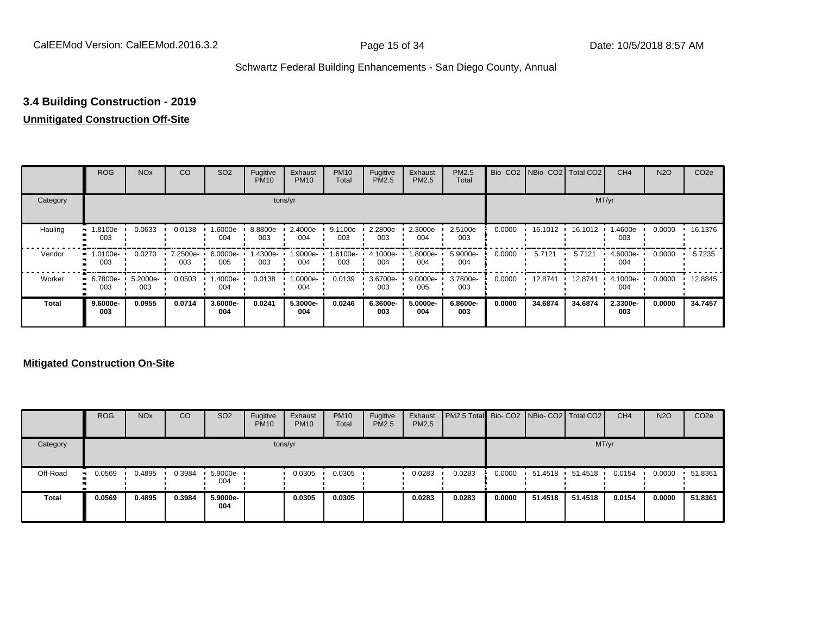## **3.4 Building Construction - 2019**

## **Unmitigated Construction Off-Site**

|          | <b>ROG</b>          | <b>NO<sub>x</sub></b> | CO              | SO <sub>2</sub>  | Fugitive<br><b>PM10</b> | Exhaust<br><b>PM10</b> | <b>PM10</b><br>Total | Fugitive<br><b>PM2.5</b> | Exhaust<br>PM2.5 | <b>PM2.5</b><br>Total |        | Bio- CO2   NBio- CO2   Total CO2 |         | CH <sub>4</sub> | <b>N2O</b> | CO <sub>2e</sub> |
|----------|---------------------|-----------------------|-----------------|------------------|-------------------------|------------------------|----------------------|--------------------------|------------------|-----------------------|--------|----------------------------------|---------|-----------------|------------|------------------|
| Category |                     |                       |                 |                  |                         | tons/yr                |                      |                          |                  |                       |        |                                  | MT/yr   |                 |            |                  |
| Hauling  | -.8100e<br>003      | 0.0633                | 0.0138          | -6000e.<br>004   | 8.8800e-<br>003         | 2.4000e-<br>004        | 9.1100e-<br>003      | 2.2800e-<br>003          | 2.3000e-<br>004  | 2.5100e-<br>003       | 0.0000 | 16.1012 ·                        | 16.1012 | 1.4600e-<br>003 | 0.0000     | 16.1376          |
| Vendor   | -0100e-<br>œ<br>003 | 0.0270                | 7.2500e-<br>003 | 6.0000e-<br>005  | 1.4300e-<br>003         | 1.9000e-<br>004        | 1.6100e-<br>003      | 4.1000e-<br>004          | -8000e-<br>004   | 5.9000e-<br>004       | 0.0000 | 5.7121                           | 5.7121  | 4.6000e-<br>004 | 0.0000     | 5.7235           |
| Worker   | 6.7800e-<br>003     | 5.2000e-<br>003       | 0.0503          | $.4000e-$<br>004 | 0.0138                  | 1.0000e-<br>004        | 0.0139               | 3.6700e-<br>003          | 9.0000e-<br>005  | 3.7600e-<br>003       | 0.0000 | 12.8741                          | 12.8741 | 4.1000e-<br>004 | 0.0000     | 12.8845          |
| Total    | $9.6000e-$<br>003   | 0.0955                | 0.0714          | 3.6000e-<br>004  | 0.0241                  | 5.3000e-<br>004        | 0.0246               | 6.3600e-<br>003          | 5.0000e-<br>004  | 6.8600e-<br>003       | 0.0000 | 34.6874                          | 34.6874 | 2.3300e-<br>003 | 0.0000     | 34.7457          |

|              | <b>ROG</b>           | <b>NO<sub>x</sub></b> | CO     | SO <sub>2</sub> | Fugitive<br><b>PM10</b> | Exhaust<br><b>PM10</b> | <b>PM10</b><br><b>Total</b> | Fugitive<br>PM2.5 | Exhaust<br><b>PM2.5</b> | <b>PM2.5 Total</b> Bio- CO2 NBio- CO2 Total CO2 |        |                   |         | CH <sub>4</sub> | <b>N2O</b> | CO <sub>2</sub> e |
|--------------|----------------------|-----------------------|--------|-----------------|-------------------------|------------------------|-----------------------------|-------------------|-------------------------|-------------------------------------------------|--------|-------------------|---------|-----------------|------------|-------------------|
| Category     |                      |                       |        |                 | tons/yr                 |                        |                             |                   |                         |                                                 |        |                   |         | MT/yr           |            |                   |
| Off-Road     | 0.0569<br><b>ALC</b> | 0.4895                | 0.3984 | 5.9000e-<br>004 |                         | 0.0305                 | 0.0305                      |                   | 0.0283                  | 0.0283                                          | 0.0000 | 51.4518   51.4518 |         | 0.0154          | 0.0000     | 51.8361           |
| <b>Total</b> | 0.0569               | 0.4895                | 0.3984 | 5.9000e-<br>004 |                         | 0.0305                 | 0.0305                      |                   | 0.0283                  | 0.0283                                          | 0.0000 | 51.4518           | 51.4518 | 0.0154          | 0.0000     | 51.8361           |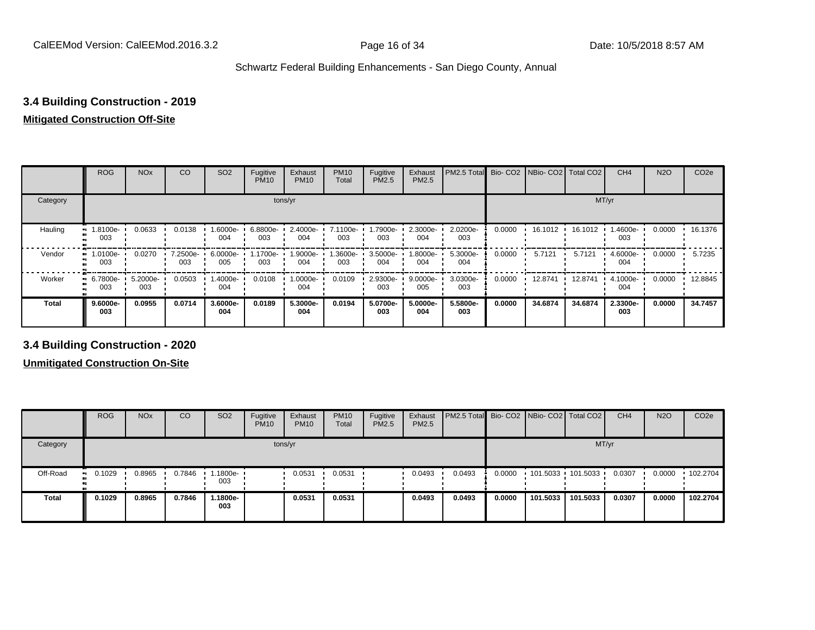## **3.4 Building Construction - 2019**

#### **Mitigated Construction Off-Site**

|              | <b>ROG</b>             | <b>NO<sub>x</sub></b> | CO              | SO <sub>2</sub>    | Fugitive<br><b>PM10</b> | Exhaust<br><b>PM10</b> | <b>PM10</b><br>Total | Fugitive<br>PM2.5 | Exhaust<br>PM2.5 | PM2.5 Total     |        | Bio- CO2   NBio- CO2   Total CO2 |         | CH <sub>4</sub> | <b>N2O</b> | CO <sub>2e</sub> |
|--------------|------------------------|-----------------------|-----------------|--------------------|-------------------------|------------------------|----------------------|-------------------|------------------|-----------------|--------|----------------------------------|---------|-----------------|------------|------------------|
| Category     |                        |                       |                 |                    |                         | tons/yr                |                      |                   |                  |                 |        |                                  | MT/yr   |                 |            |                  |
| Hauling      | 8100e-<br>003          | 0.0633                | 0.0138          | $1.6000e -$<br>004 | $6.8800e-$<br>003       | 2.4000e-<br>004        | 7.1100e-<br>003      | 1.7900e-<br>003   | 2.3000e-<br>004  | 2.0200e-<br>003 | 0.0000 | 16.1012                          | 16.1012 | .4600e-<br>003  | 0.0000     | 16.1376          |
| Vendor       | 1.0100e-<br>003        | 0.0270                | 7.2500e-<br>003 | 6.0000e-<br>005    | 1.1700e-<br>003         | 1.9000e-<br>004        | 1.3600e-<br>003      | 3.5000e-<br>004   | .8000e-<br>004   | 5.3000e-<br>004 | 0.0000 | 5.7121                           | 5.7121  | 4.6000e-<br>004 | 0.0000     | 5.7235           |
| Worker       | 6.7800e-<br>. .<br>003 | 5.2000e-<br>003       | 0.0503          | -.4000e<br>004     | 0.0108                  | 1.0000e-<br>004        | 0.0109               | 2.9300e-<br>003   | 9.0000e-<br>005  | 3.0300e-<br>003 | 0.0000 | 12.8741                          | 12.8741 | 4.1000e-<br>004 | 0.0000     | 12.8845          |
| <b>Total</b> | $9.6000e -$<br>003     | 0.0955                | 0.0714          | 3.6000e-<br>004    | 0.0189                  | 5.3000e-<br>004        | 0.0194               | 5.0700e-<br>003   | 5.0000e-<br>004  | 5.5800e-<br>003 | 0.0000 | 34.6874                          | 34.6874 | 2.3300e-<br>003 | 0.0000     | 34.7457          |

**3.4 Building Construction - 2020**

|              | <b>ROG</b>          | <b>NO<sub>x</sub></b> | CO     | SO <sub>2</sub>  | Fugitive<br><b>PM10</b> | Exhaust<br><b>PM10</b> | <b>PM10</b><br>Total | Fugitive<br><b>PM2.5</b> | Exhaust<br>PM2.5 | <b>PM2.5 Total</b> Bio- CO2 NBio- CO2   Total CO2 |        |          |                     | CH <sub>4</sub> | <b>N2O</b> | CO <sub>2e</sub> |
|--------------|---------------------|-----------------------|--------|------------------|-------------------------|------------------------|----------------------|--------------------------|------------------|---------------------------------------------------|--------|----------|---------------------|-----------------|------------|------------------|
| Category     |                     |                       |        |                  |                         | tons/yr                |                      |                          |                  |                                                   |        |          |                     | MT/yr           |            |                  |
| Off-Road     | 0.1029<br><b>BL</b> | 0.8965                | 0.7846 | .1800e- '<br>003 |                         | 0.0531                 | 0.0531               |                          | 0.0493           | 0.0493                                            | 0.0000 |          | 101.5033 101.5033 ' | 0.0307          | 0.0000     | 102.2704         |
| <b>Total</b> | 0.1029              | 0.8965                | 0.7846 | .1800e-<br>003   |                         | 0.0531                 | 0.0531               |                          | 0.0493           | 0.0493                                            | 0.0000 | 101.5033 | 101.5033            | 0.0307          | 0.0000     | 102.2704         |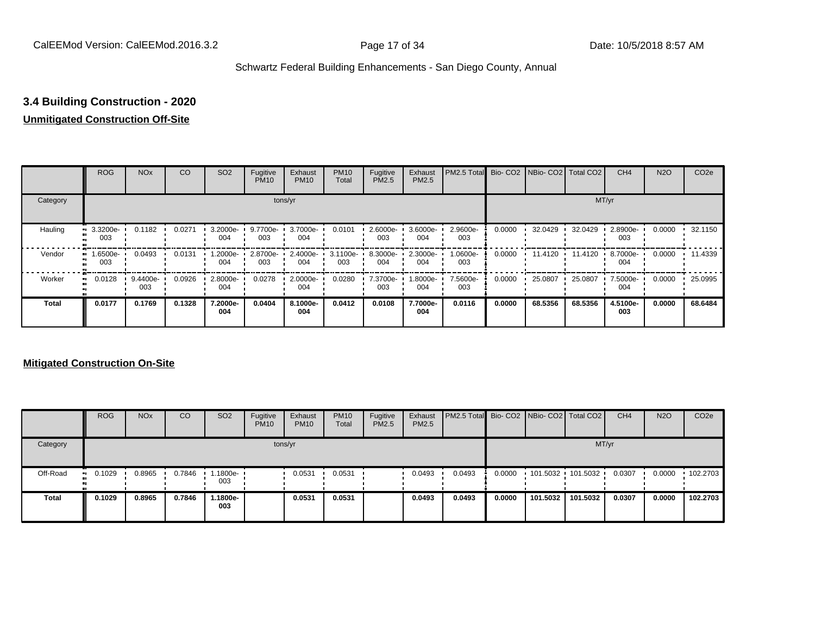## **3.4 Building Construction - 2020**

## **Unmitigated Construction Off-Site**

|             | <b>ROG</b>             | <b>NO<sub>x</sub></b> | CO     | SO <sub>2</sub> | Fugitive<br><b>PM10</b> | Exhaust<br><b>PM10</b> | <b>PM10</b><br>Total | Fugitive<br>PM2.5 | Exhaust<br>PM2.5 | PM2.5 Total Bio- CO2 NBio- CO2 Total CO2 |        |         |         | CH <sub>4</sub> | <b>N2O</b> | CO <sub>2e</sub> |
|-------------|------------------------|-----------------------|--------|-----------------|-------------------------|------------------------|----------------------|-------------------|------------------|------------------------------------------|--------|---------|---------|-----------------|------------|------------------|
| Category    |                        |                       |        |                 |                         | tons/yr                |                      |                   |                  |                                          |        |         | MT/yr   |                 |            |                  |
| Hauling     | 3.3200e-<br>ш<br>003   | 0.1182                | 0.0271 | 3.2000e-<br>004 | 9.7700e-<br>003         | 3.7000e-<br>004        | 0.0101               | 2.6000e-<br>003   | 3.6000e-<br>004  | 2.9600e-<br>003                          | 0.0000 | 32.0429 | 32.0429 | 2.8900e-<br>003 | 0.0000     | 32.1150          |
| Vendor<br>œ | -6500e-<br>003         | 0.0493                | 0.0131 | -2000e.<br>004  | 2.8700e-<br>003         | 2.4000e-<br>004        | 3.1100e-<br>003      | 8.3000e-<br>004   | 2.3000e-<br>004  | 1.0600e-<br>003                          | 0.0000 | 11.4120 | 11.4120 | 8.7000e-<br>004 | 0.0000     | 11.4339          |
| Worker      | 0.0128<br>$\mathbf{u}$ | 9.4400e-<br>003       | 0.0926 | 2.8000e-<br>004 | 0.0278                  | 2.0000e-<br>004        | 0.0280               | 7.3700e-<br>003   | -8000e.<br>004   | 7.5600e-<br>003                          | 0.0000 | 25.0807 | 25.0807 | 7.5000e-<br>004 | 0.0000     | 25.0995          |
| Total       | 0.0177                 | 0.1769                | 0.1328 | 7.2000e-<br>004 | 0.0404                  | 8.1000e-<br>004        | 0.0412               | 0.0108            | 7.7000e-<br>004  | 0.0116                                   | 0.0000 | 68.5356 | 68.5356 | 4.5100e-<br>003 | 0.0000     | 68.6484          |

|              | <b>ROG</b>            | <b>NO<sub>x</sub></b> | CO     | SO <sub>2</sub>   | Fugitive<br><b>PM10</b> | Exhaust<br><b>PM10</b> | <b>PM10</b><br><b>Total</b> | Fugitive<br>PM2.5 | Exhaust<br><b>PM2.5</b> | <b>PM2.5 Total</b> Bio- CO2 NBio- CO2 Total CO2 |        |          |                     | CH <sub>4</sub> | <b>N2O</b> | CO <sub>2e</sub> |
|--------------|-----------------------|-----------------------|--------|-------------------|-------------------------|------------------------|-----------------------------|-------------------|-------------------------|-------------------------------------------------|--------|----------|---------------------|-----------------|------------|------------------|
| Category     |                       |                       |        |                   |                         | tons/yr                |                             |                   |                         |                                                 |        |          |                     | MT/yr           |            |                  |
| Off-Road     | $\blacksquare$ 0.1029 | 0.8965                | 0.7846 | $.1800e -$<br>003 |                         | 0.0531                 | 0.0531                      |                   | 0.0493                  | 0.0493                                          | 0.0000 |          | $101.5032$ 101.5032 | 0.0307          | 0.0000     | $\cdot$ 102.2703 |
| <b>Total</b> | 0.1029                | 0.8965                | 0.7846 | .1800e-<br>003    |                         | 0.0531                 | 0.0531                      |                   | 0.0493                  | 0.0493                                          | 0.0000 | 101.5032 | 101.5032            | 0.0307          | 0.0000     | 102.2703         |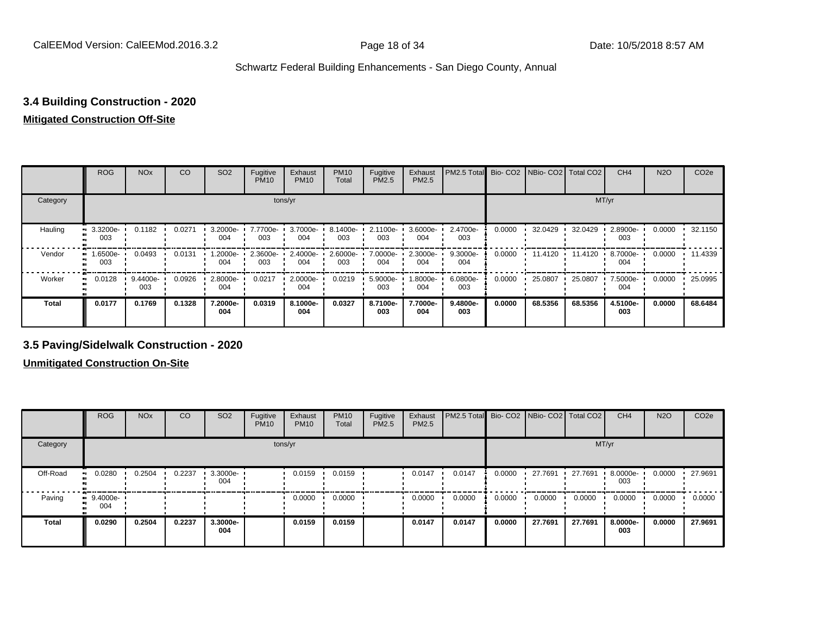## **3.4 Building Construction - 2020**

#### **Mitigated Construction Off-Site**

|              | <b>ROG</b>      | <b>NO<sub>x</sub></b> | CO     | SO <sub>2</sub> | Fugitive<br><b>PM10</b> | Exhaust<br><b>PM10</b> | <b>PM10</b><br>Total | Fugitive<br>PM2.5 | Exhaust<br>PM2.5 | PM2.5 Total Bio- CO2 NBio- CO2 Total CO2 |        |         |         | CH <sub>4</sub> | <b>N2O</b> | CO <sub>2e</sub> |
|--------------|-----------------|-----------------------|--------|-----------------|-------------------------|------------------------|----------------------|-------------------|------------------|------------------------------------------|--------|---------|---------|-----------------|------------|------------------|
| Category     |                 |                       |        |                 |                         | tons/yr                |                      |                   |                  |                                          |        |         |         | MT/yr           |            |                  |
| Hauling      | 3.3200e-<br>003 | 0.1182                | 0.0271 | 3.2000e-<br>004 | 7.7700e-<br>003         | 3.7000e-<br>004        | 8.1400e-<br>003      | 2.1100e-<br>003   | 3.6000e-<br>004  | 2.4700e-<br>003                          | 0.0000 | 32.0429 | 32.0429 | 2.8900e-<br>003 | 0.0000     | 32.1150          |
| Vendor<br>m  | --6500e<br>003  | 0.0493                | 0.0131 | -2000e.<br>004  | 2.3600e-<br>003         | 2.4000e-<br>004        | 2.6000e-<br>003      | 7.0000e-<br>004   | 2.3000e-<br>004  | 9.3000e-<br>004                          | 0.0000 | 11.4120 | 11.4120 | 8.7000e-<br>004 | 0.0000     | 11.4339          |
| Worker<br>m  | 0.0128          | 9.4400e-<br>003       | 0.0926 | 2.8000e-<br>004 | 0.0217                  | 2.0000e-<br>004        | 0.0219               | 5.9000e-<br>003   | -8000e.<br>004   | 6.0800e-<br>003                          | 0.0000 | 25.0807 | 25.0807 | 7.5000e-<br>004 | 0.0000     | 25.0995          |
| <b>Total</b> | 0.0177          | 0.1769                | 0.1328 | 7.2000e-<br>004 | 0.0319                  | 8.1000e-<br>004        | 0.0327               | 8.7100e-<br>003   | 7.7000e-<br>004  | 9.4800e-<br>003                          | 0.0000 | 68.5356 | 68.5356 | 4.5100e-<br>003 | 0.0000     | 68.6484          |

### **3.5 Paving/Sidelwalk Construction - 2020**

|              | <b>ROG</b>             | <b>NO<sub>x</sub></b> | CO     | SO <sub>2</sub> | Fugitive<br><b>PM10</b> | Exhaust<br><b>PM10</b> | <b>PM10</b><br>Total | Fugitive<br><b>PM2.5</b> | Exhaust<br><b>PM2.5</b> | PM2.5 Total Bio- CO2 NBio- CO2 Total CO2 |        |         |         | CH <sub>4</sub> | <b>N2O</b> | CO <sub>2e</sub> |
|--------------|------------------------|-----------------------|--------|-----------------|-------------------------|------------------------|----------------------|--------------------------|-------------------------|------------------------------------------|--------|---------|---------|-----------------|------------|------------------|
| Category     |                        |                       |        |                 |                         | tons/yr                |                      |                          |                         |                                          |        |         | MT/yr   |                 |            |                  |
| Off-Road     | 0.0280                 | 0.2504                | 0.2237 | 3.3000e-<br>004 |                         | 0.0159                 | 0.0159               |                          | 0.0147                  | 0.0147                                   | 0.0000 | 27.7691 | 27.7691 | 8.0000e-<br>003 | 0.0000     | 27.9691          |
| Paving       | 9.4000e-<br>. .<br>004 |                       |        |                 |                         | 0.0000                 | 0.0000               |                          | 0.0000                  | 0.0000                                   | 0.0000 | 0.0000  | 0.0000  | 0.0000          | 0.0000     | 0.0000           |
| <b>Total</b> | 0.0290                 | 0.2504                | 0.2237 | 3.3000e-<br>004 |                         | 0.0159                 | 0.0159               |                          | 0.0147                  | 0.0147                                   | 0.0000 | 27.7691 | 27.7691 | 8.0000e-<br>003 | 0.0000     | 27.9691          |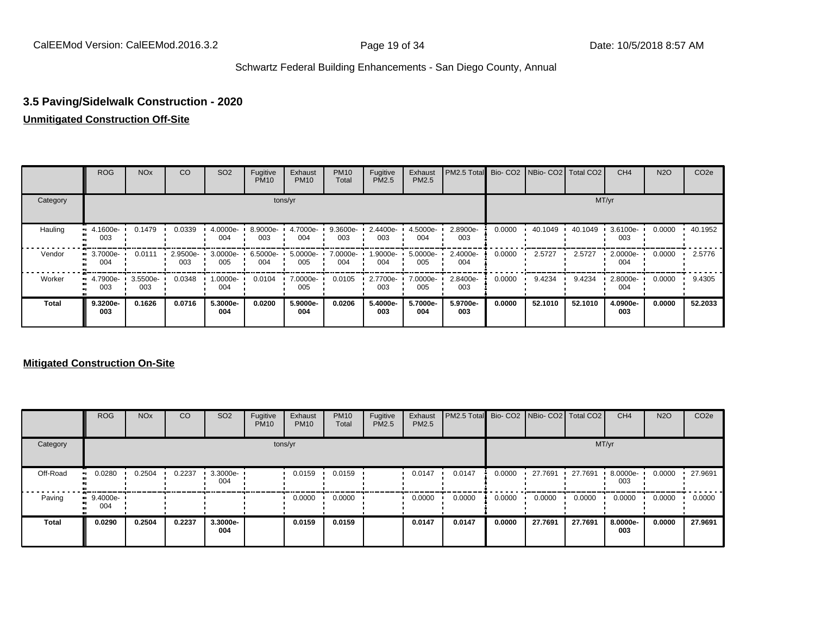## **3.5 Paving/Sidelwalk Construction - 2020**

#### **Unmitigated Construction Off-Site**

|          | <b>ROG</b>      | <b>NO<sub>x</sub></b> | CO              | SO <sub>2</sub> | Fugitive<br><b>PM10</b> | Exhaust<br><b>PM10</b> | <b>PM10</b><br>Total | Fugitive<br><b>PM2.5</b> | Exhaust<br>PM2.5 | PM2.5 Total Bio- CO2 NBio- CO2 Total CO2 |        |         |         | CH <sub>4</sub> | <b>N2O</b> | CO <sub>2e</sub> |
|----------|-----------------|-----------------------|-----------------|-----------------|-------------------------|------------------------|----------------------|--------------------------|------------------|------------------------------------------|--------|---------|---------|-----------------|------------|------------------|
| Category |                 |                       |                 |                 |                         | tons/yr                |                      |                          |                  |                                          |        |         |         | MT/yr           |            |                  |
| Hauling  | 4.1600e-<br>003 | 0.1479                | 0.0339          | 4.0000e-<br>004 | 8.9000e-<br>003         | 4.7000e-<br>004        | 9.3600e-<br>003      | 2.4400e-<br>003          | 4.5000e-<br>004  | 2.8900e-<br>003                          | 0.0000 | 40.1049 | 40.1049 | 3.6100e-<br>003 | 0.0000     | 40.1952          |
| Vendor   | 3.7000e-<br>004 | 0.0111                | 2.9500e-<br>003 | 3.0000e-<br>005 | $6.5000e-$<br>004       | 5.0000e-<br>005        | 7.0000e-<br>004      | 1.9000e-<br>004          | 5.0000e-<br>005  | 2.4000e-<br>004                          | 0.0000 | 2.5727  | 2.5727  | 2.0000e-<br>004 | 0.0000     | 2.5776           |
| Worker   | 4.7900e-<br>003 | 3.5500e-<br>003       | 0.0348          | 1.0000e-<br>004 | 0.0104                  | 7.0000e-<br>005        | 0.0105               | 2.7700e-<br>003          | 7.0000e-<br>005  | 2.8400e-<br>003                          | 0.0000 | 9.4234  | 9.4234  | 2.8000e-<br>004 | 0.0000     | 9.4305           |
| Total    | 9.3200e-<br>003 | 0.1626                | 0.0716          | 5.3000e-<br>004 | 0.0200                  | 5.9000e-<br>004        | 0.0206               | 5.4000e-<br>003          | 5.7000e-<br>004  | 5.9700e-<br>003                          | 0.0000 | 52.1010 | 52.1010 | 4.0900e-<br>003 | 0.0000     | 52.2033          |

|          | <b>ROG</b>        | <b>NO<sub>x</sub></b> | CO     | SO <sub>2</sub> | Fugitive<br><b>PM10</b> | Exhaust<br><b>PM10</b> | <b>PM10</b><br>Total | Fugitive<br><b>PM2.5</b> | Exhaust<br>PM2.5 | PM2.5 Total Bio- CO2 NBio- CO2 Total CO2 |        |         |         | CH <sub>4</sub> | <b>N2O</b> | CO <sub>2e</sub> |
|----------|-------------------|-----------------------|--------|-----------------|-------------------------|------------------------|----------------------|--------------------------|------------------|------------------------------------------|--------|---------|---------|-----------------|------------|------------------|
| Category |                   |                       |        |                 | tons/yr                 |                        |                      |                          |                  |                                          |        |         | MT/yr   |                 |            |                  |
| Off-Road | 0.0280<br>        | 0.2504                | 0.2237 | 3.3000e-<br>004 |                         | 0.0159                 | 0.0159               |                          | 0.0147           | 0.0147                                   | 0.0000 | 27.7691 | 27.7691 | 8.0000e-<br>003 | 0.0000     | 27.9691          |
| Paving   | $9.4000e-$<br>004 |                       |        |                 |                         | 0.0000                 | 0.0000               |                          | 0.0000           | 0.0000                                   | 0.0000 | 0.0000  | 0.0000  | 0.0000          | 0.0000     | 0.0000           |
| Total    | 0.0290            | 0.2504                | 0.2237 | 3.3000e-<br>004 |                         | 0.0159                 | 0.0159               |                          | 0.0147           | 0.0147                                   | 0.0000 | 27.7691 | 27.7691 | 8.0000e-<br>003 | 0.0000     | 27.9691          |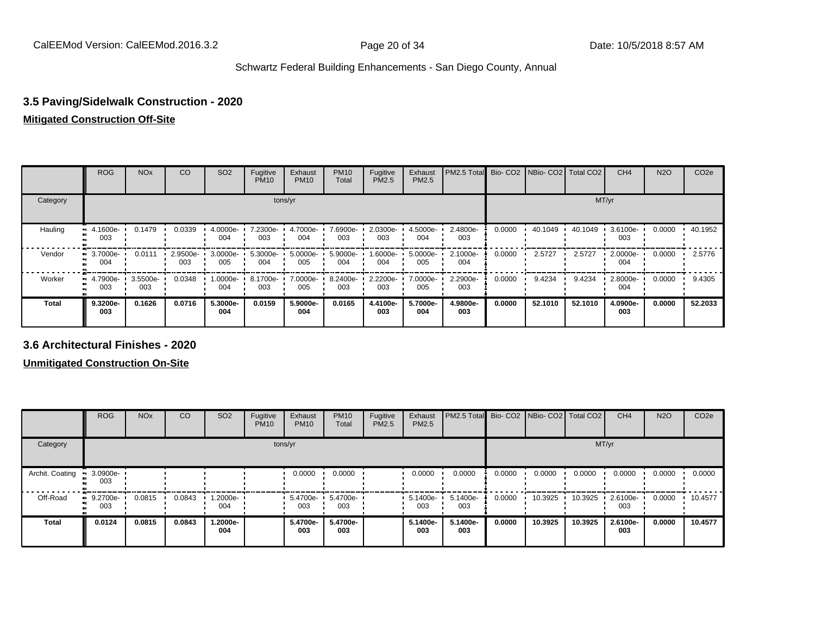## **3.5 Paving/Sidelwalk Construction - 2020**

#### **Mitigated Construction Off-Site**

|          | <b>ROG</b>           | <b>NO<sub>x</sub></b> | CO              | SO <sub>2</sub> | Fugitive<br><b>PM10</b> | Exhaust<br><b>PM10</b> | <b>PM10</b><br>Total | Fugitive<br>PM2.5 | Exhaust<br>PM2.5 | PM2.5 Total Bio- CO2 NBio- CO2 Total CO2 |        |         |         | CH <sub>4</sub> | <b>N2O</b> | CO <sub>2e</sub> |
|----------|----------------------|-----------------------|-----------------|-----------------|-------------------------|------------------------|----------------------|-------------------|------------------|------------------------------------------|--------|---------|---------|-----------------|------------|------------------|
| Category |                      |                       |                 |                 |                         | tons/yr                |                      |                   |                  |                                          |        |         | MT/yr   |                 |            |                  |
| Hauling  | 4.1600e-<br>ш<br>003 | 0.1479                | 0.0339          | 4.0000e-<br>004 | 7.2300e-<br>003         | 4.7000e-<br>004        | 7.6900e-<br>003      | 2.0300e-<br>003   | 4.5000e-<br>004  | 2.4800e-<br>003                          | 0.0000 | 40.1049 | 40.1049 | 3.6100e-<br>003 | 0.0000     | 40.1952          |
| Vendor   | 3.7000e-<br>ш<br>004 | 0.0111                | 2.9500e-<br>003 | 3.0000e-<br>005 | 5.3000e-<br>004         | 5.0000e-<br>005        | 5.9000e-<br>004      | 1.6000e-<br>004   | 5.0000e-<br>005  | 2.1000e-<br>004                          | 0.0000 | 2.5727  | 2.5727  | 2.0000e-<br>004 | 0.0000     | 2.5776           |
| Worker   | 4.7900e-<br>003      | 3.5500e-<br>003       | 0.0348          | -:0000e<br>004  | 8.1700e-<br>003         | 7.0000e-<br>005        | 8.2400e-<br>003      | 2.2200e-<br>003   | 7.0000e-<br>005  | 2.2900e-<br>003                          | 0.0000 | 9.4234  | 9.4234  | 2.8000e-<br>004 | 0.0000     | 9.4305           |
| Total    | 9.3200e-<br>003      | 0.1626                | 0.0716          | 5.3000e-<br>004 | 0.0159                  | 5.9000e-<br>004        | 0.0165               | 4.4100e-<br>003   | 5.7000e-<br>004  | 4.9800e-<br>003                          | 0.0000 | 52.1010 | 52.1010 | 4.0900e-<br>003 | 0.0000     | 52.2033          |

**3.6 Architectural Finishes - 2020**

|                       | <b>ROG</b>        | <b>NO<sub>x</sub></b> | CO     | SO <sub>2</sub> | Fugitive<br><b>PM10</b> | Exhaust<br><b>PM10</b> | <b>PM10</b><br>Total     | Fugitive<br><b>PM2.5</b> | Exhaust<br><b>PM2.5</b> | PM2.5 Total Bio- CO2 NBio- CO2 |        |         | Total CO <sub>2</sub> | CH <sub>4</sub> | <b>N2O</b> | CO <sub>2e</sub> |
|-----------------------|-------------------|-----------------------|--------|-----------------|-------------------------|------------------------|--------------------------|--------------------------|-------------------------|--------------------------------|--------|---------|-----------------------|-----------------|------------|------------------|
| Category              |                   |                       |        |                 |                         | tons/yr                |                          |                          |                         |                                |        |         | MT/yr                 |                 |            |                  |
| Archit. Coating<br>-- | 3.0900e-<br>003   |                       |        |                 |                         | 0.0000                 | 0.0000                   |                          | 0.0000                  | 0.0000                         | 0.0000 | 0.0000  | 0.0000                | 0.0000          | 0.0000     | 0.0000           |
| Off-Road              | " 9.2700e-<br>003 | 0.0815                | 0.0843 | 1.2000e-<br>004 |                         | 003                    | 5.4700e- 5.4700e-<br>003 |                          | 5.1400e-<br>003         | 5.1400e-<br>003                | 0.0000 | 10.3925 | 10.3925               | 2.6100e-<br>003 | 0.0000     | 10.4577          |
| <b>Total</b>          | 0.0124            | 0.0815                | 0.0843 | -2000e.<br>004  |                         | 5.4700e-<br>003        | 5.4700e-<br>003          |                          | 5.1400e-<br>003         | 5.1400e-<br>003                | 0.0000 | 10.3925 | 10.3925               | 2.6100e-<br>003 | 0.0000     | 10.4577          |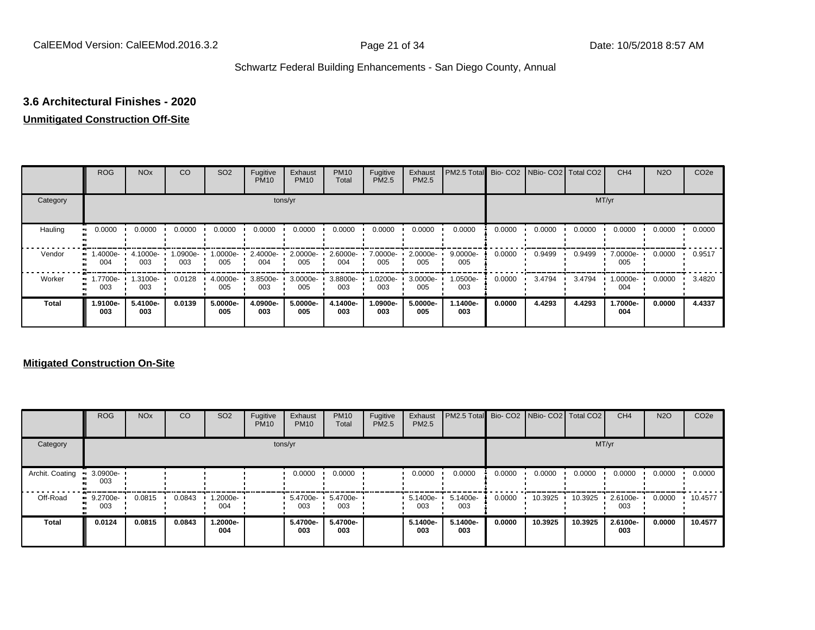## **3.6 Architectural Finishes - 2020**

#### **Unmitigated Construction Off-Site**

|              | <b>ROG</b>                   | <b>NO<sub>x</sub></b> | CO             | SO <sub>2</sub> | Fugitive<br><b>PM10</b> | Exhaust<br><b>PM10</b> | <b>PM10</b><br>Total | Fugitive<br>PM2.5 | Exhaust<br>PM2.5 | PM2.5 Total Bio- CO2 NBio- CO2 Total CO2 |        |        |        | CH <sub>4</sub> | <b>N2O</b> | CO <sub>2e</sub> |
|--------------|------------------------------|-----------------------|----------------|-----------------|-------------------------|------------------------|----------------------|-------------------|------------------|------------------------------------------|--------|--------|--------|-----------------|------------|------------------|
| Category     |                              |                       |                |                 |                         | tons/yr                |                      |                   |                  |                                          |        |        | MT/yr  |                 |            |                  |
| Hauling      | 0.0000<br>ш                  | 0.0000                | 0.0000         | 0.0000          | 0.0000                  | 0.0000                 | 0.0000               | 0.0000            | 0.0000           | 0.0000                                   | 0.0000 | 0.0000 | 0.0000 | 0.0000          | 0.0000     | 0.0000           |
| Vendor<br>œ  | -.4000e<br>004               | 4.1000e-<br>003       | -.0900e<br>003 | -:0000e<br>005  | 2.4000e-<br>004         | 2.0000e-<br>005        | 2.6000e-<br>004      | 7.0000e-<br>005   | 2.0000e-<br>005  | 9.0000e-<br>005                          | 0.0000 | 0.9499 | 0.9499 | 7.0000e-<br>005 | 0.0000     | 0.9517           |
| Worker       | 1.7700e-<br>$\bullet$<br>003 | 1.3100e-<br>003       | 0.0128         | 4.0000e-<br>005 | 3.8500e-<br>003         | 3.0000e-<br>005        | 3.8800e-<br>003      | 1.0200e-<br>003   | 3.0000e-<br>005  | 1.0500e-<br>003                          | 0.0000 | 3.4794 | 3.4794 | 1.0000e-<br>004 | 0.0000     | 3.4820           |
| <b>Total</b> | 1.9100e-<br>003              | 5.4100e-<br>003       | 0.0139         | 5.0000e-<br>005 | 4.0900e-<br>003         | 5.0000e-<br>005        | 4.1400e-<br>003      | 1.0900e-<br>003   | 5.0000e-<br>005  | 1.1400e-<br>003                          | 0.0000 | 4.4293 | 4.4293 | 1.7000e-<br>004 | 0.0000     | 4.4337           |

|                 | <b>ROG</b>         | <b>NO<sub>x</sub></b> | CO     | SO <sub>2</sub> | Fugitive<br><b>PM10</b> | Exhaust<br><b>PM10</b> | <b>PM10</b><br>Total | Fugitive<br><b>PM2.5</b> | Exhaust<br><b>PM2.5</b> | PM2.5 Total Bio- CO2 NBio- CO2 Total CO2 |        |         |         | CH <sub>4</sub> | <b>N2O</b> | CO <sub>2e</sub> |
|-----------------|--------------------|-----------------------|--------|-----------------|-------------------------|------------------------|----------------------|--------------------------|-------------------------|------------------------------------------|--------|---------|---------|-----------------|------------|------------------|
| Category        |                    |                       |        |                 |                         | tons/yr                |                      |                          |                         |                                          |        |         | MT/yr   |                 |            |                  |
| Archit. Coating | 3.0900e-<br>003    |                       |        |                 |                         | 0.0000                 | 0.0000               |                          | 0.0000                  | 0.0000                                   | 0.0000 | 0.0000  | 0.0000  | 0.0000          | 0.0000     | 0.0000           |
| Off-Road        | $-9.2700e-$<br>003 | 0.0815                | 0.0843 | 1.2000e-<br>004 |                         | 5.4700e-<br>003        | 5.4700e-<br>003      |                          | 5.1400e-<br>003         | 5.1400e-<br>003                          | 0.0000 | 10.3925 | 10.3925 | 2.6100e-<br>003 | 0.0000     | 10.4577          |
| <b>Total</b>    | 0.0124             | 0.0815                | 0.0843 | -2000e.<br>004  |                         | 5.4700e-<br>003        | 5.4700e-<br>003      |                          | 5.1400e-<br>003         | 5.1400e-<br>003                          | 0.0000 | 10.3925 | 10.3925 | 2.6100e-<br>003 | 0.0000     | 10.4577          |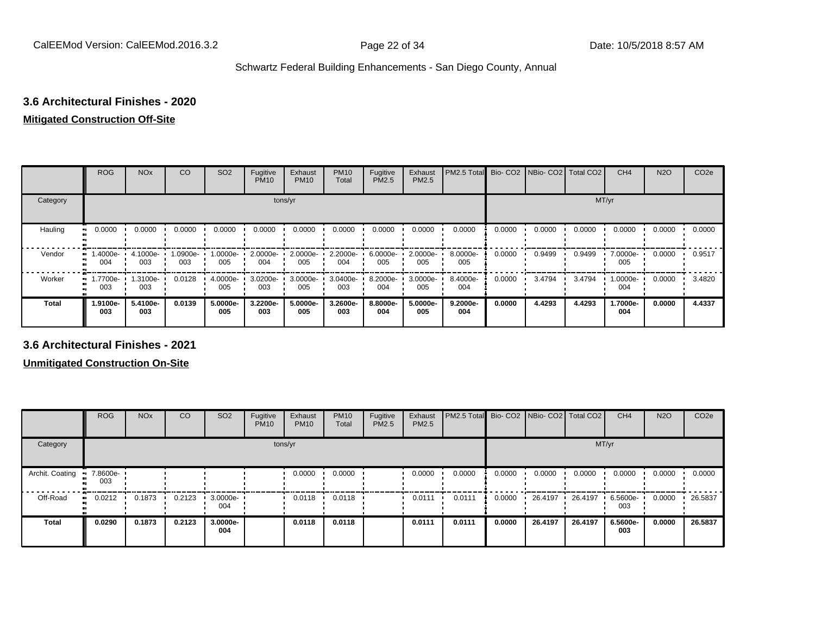## **3.6 Architectural Finishes - 2020**

#### **Mitigated Construction Off-Site**

|               | <b>ROG</b>      | <b>NO<sub>x</sub></b> | CO              | SO <sub>2</sub>    | Fugitive<br><b>PM10</b> | Exhaust<br><b>PM10</b> | <b>PM10</b><br>Total | Fugitive<br>PM2.5 | Exhaust<br>PM2.5   | PM2.5 Total       |        | Bio-CO2 NBio-CO2 Total CO2 |        | CH <sub>4</sub> | <b>N2O</b> | CO <sub>2e</sub> |
|---------------|-----------------|-----------------------|-----------------|--------------------|-------------------------|------------------------|----------------------|-------------------|--------------------|-------------------|--------|----------------------------|--------|-----------------|------------|------------------|
| Category      |                 |                       |                 |                    |                         | tons/yr                |                      |                   |                    |                   |        |                            | MT/yr  |                 |            |                  |
| Hauling<br>81 | 0.0000          | 0.0000                | 0.0000          | 0.0000             | 0.0000                  | 0.0000                 | 0.0000               | 0.0000            | 0.0000             | 0.0000            | 0.0000 | 0.0000                     | 0.0000 | 0.0000          | 0.0000     | 0.0000           |
| Vendor        | .4000e-<br>004  | 4.1000e-<br>003       | 1.0900e-<br>003 | 1.0000e-<br>005    | 2.0000e-<br>004         | 2.0000e-<br>005        | 2.2000e-<br>004      | 6.0000e-<br>005   | 2.0000e-<br>005    | 8.0000e-<br>005   | 0.0000 | 0.9499                     | 0.9499 | 7.0000e-<br>005 | 0.0000     | 0.9517           |
| Worker        | .7700e-<br>003  | 1.3100e-<br>003       | 0.0128          | $4.0000e -$<br>005 | $3.0200e -$<br>003      | 3.0000e-<br>005        | 3.0400e-<br>003      | 8.2000e-<br>004   | $3.0000e -$<br>005 | 8.4000e-<br>004   | 0.0000 | 3.4794                     | 3.4794 | 1.0000e-<br>004 | 0.0000     | 3.4820           |
| <b>Total</b>  | 1.9100e-<br>003 | 5.4100e-<br>003       | 0.0139          | 5.0000e-<br>005    | 3.2200e-<br>003         | 5.0000e-<br>005        | 3.2600e-<br>003      | 8.8000e-<br>004   | 5.0000e-<br>005    | $9.2000e-$<br>004 | 0.0000 | 4.4293                     | 4.4293 | 1.7000e-<br>004 | 0.0000     | 4.4337           |

**3.6 Architectural Finishes - 2021**

|                       | <b>ROG</b>      | <b>NO<sub>x</sub></b> | CO     | SO <sub>2</sub>                 | Fugitive<br><b>PM10</b> | Exhaust<br><b>PM10</b> | <b>PM10</b><br>Total | Fugitive<br><b>PM2.5</b> | Exhaust<br><b>PM2.5</b> | PM2.5 Total Bio- CO2 NBio- CO2 Total CO2 |        |         |         | CH <sub>4</sub> | <b>N2O</b> | CO <sub>2e</sub> |
|-----------------------|-----------------|-----------------------|--------|---------------------------------|-------------------------|------------------------|----------------------|--------------------------|-------------------------|------------------------------------------|--------|---------|---------|-----------------|------------|------------------|
| Category              |                 |                       |        |                                 |                         | tons/yr                |                      |                          |                         |                                          |        |         | MT/yr   |                 |            |                  |
| Archit. Coating       | 7.8600e-<br>003 |                       |        |                                 |                         | 0.0000                 | 0.0000               |                          | 0.0000                  | 0.0000                                   | 0.0000 | 0.0000  | 0.0000  | 0.0000          | 0.0000     | 0.0000           |
| Off-Road<br>$\bullet$ | 0.0212          | 0.1873                | 0.2123 | $\cdot$ 3.0000e- $\cdot$<br>004 |                         | 0.0118                 | 0.0118               |                          | 0.0111                  | 0.0111                                   | 0.0000 | 26.4197 | 26.4197 | 6.5600e-<br>003 | 0.0000     | 26.5837          |
| <b>Total</b>          | 0.0290          | 0.1873                | 0.2123 | 3.0000e-<br>004                 |                         | 0.0118                 | 0.0118               |                          | 0.0111                  | 0.0111                                   | 0.0000 | 26.4197 | 26.4197 | 6.5600e-<br>003 | 0.0000     | 26.5837          |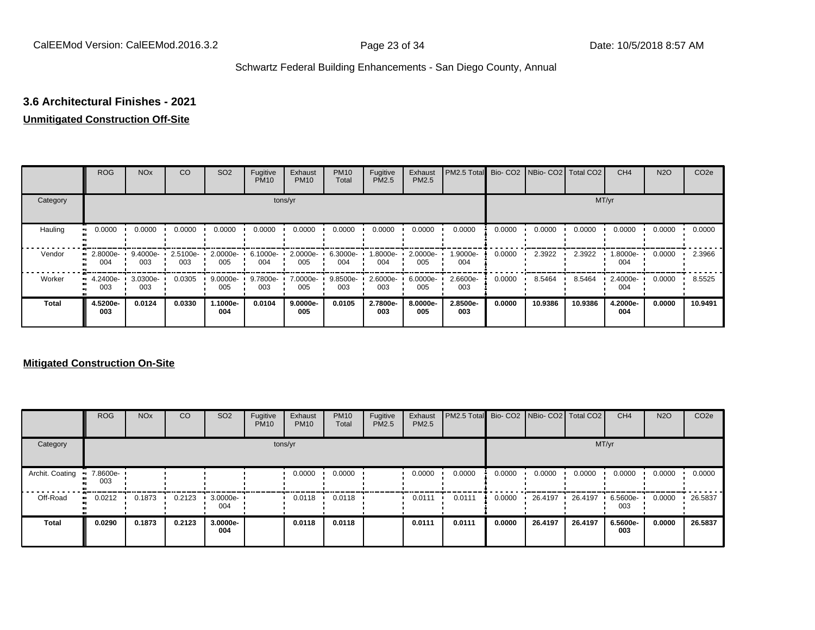## **3.6 Architectural Finishes - 2021**

#### **Unmitigated Construction Off-Site**

|              | <b>ROG</b>                   | <b>NO<sub>x</sub></b> | CO              | SO <sub>2</sub> | Fugitive<br><b>PM10</b> | Exhaust<br><b>PM10</b> | <b>PM10</b><br>Total | Fugitive<br><b>PM2.5</b> | Exhaust<br>PM2.5 | PM2.5 Total     |        | Bio- CO2   NBio- CO2   Total CO2 |         | CH <sub>4</sub> | <b>N2O</b> | CO <sub>2e</sub> |
|--------------|------------------------------|-----------------------|-----------------|-----------------|-------------------------|------------------------|----------------------|--------------------------|------------------|-----------------|--------|----------------------------------|---------|-----------------|------------|------------------|
| Category     |                              |                       |                 |                 |                         | tons/yr                |                      |                          |                  |                 |        |                                  |         | MT/yr           |            |                  |
| Hauling      | 0.0000                       | 0.0000                | 0.0000          | 0.0000          | 0.0000                  | 0.0000                 | 0.0000               | 0.0000                   | 0.0000           | 0.0000          | 0.0000 | 0.0000                           | 0.0000  | 0.0000          | 0.0000     | 0.0000           |
| Vendor       | 2.8000e-<br>m<br>004         | 9.4000e-<br>003       | 2.5100e-<br>003 | 2.0000e-<br>005 | 6.1000e-<br>004         | 2.0000e-<br>005        | 6.3000e-<br>004      | 1.8000e-<br>004          | 2.0000e-<br>005  | 1.9000e-<br>004 | 0.0000 | 2.3922                           | 2.3922  | 1.8000e-<br>004 | 0.0000     | 2.3966           |
| Worker       | 4.2400e-<br>$\bullet$<br>003 | 3.0300e-<br>003       | 0.0305          | 9.0000e-<br>005 | 9.7800e-<br>003         | 7.0000e-<br>005        | 9.8500e-<br>003      | 2.6000e-<br>003          | 6.0000e-<br>005  | 2.6600e-<br>003 | 0.0000 | 8.5464                           | 8.5464  | 2.4000e-<br>004 | 0.0000     | 8.5525           |
| <b>Total</b> | 4.5200e-<br>003              | 0.0124                | 0.0330          | 1.1000e-<br>004 | 0.0104                  | $9.0000e-$<br>005      | 0.0105               | 2.7800e-<br>003          | 8.0000e-<br>005  | 2.8500e-<br>003 | 0.0000 | 10.9386                          | 10.9386 | 4.2000e-<br>004 | 0.0000     | 10.9491          |

|                 | <b>ROG</b>           | <b>NO<sub>x</sub></b> | CO     | SO <sub>2</sub> | Fugitive<br><b>PM10</b> | Exhaust<br><b>PM10</b> | <b>PM10</b><br>Total | Fugitive<br><b>PM2.5</b> | Exhaust<br><b>PM2.5</b> | <b>PM2.5 Total</b> Bio- CO2 NBio- CO2 Total CO2 |        |         |         | CH <sub>4</sub> | <b>N2O</b> | CO <sub>2e</sub> |
|-----------------|----------------------|-----------------------|--------|-----------------|-------------------------|------------------------|----------------------|--------------------------|-------------------------|-------------------------------------------------|--------|---------|---------|-----------------|------------|------------------|
| Category        |                      |                       |        |                 |                         | tons/yr                |                      |                          |                         |                                                 |        |         | MT/yr   |                 |            |                  |
| Archit. Coating | 7.8600e-<br>003      |                       |        |                 |                         | 0.0000                 | 0.0000               |                          | 0.0000                  | 0.0000                                          | 0.0000 | 0.0000  | 0.0000  | 0.0000          | 0.0000     | 0.0000           |
| Off-Road        | 0.0212<br><b>COL</b> | 0.1873                | 0.2123 | 3.0000e-<br>004 |                         | 0.0118                 | 0.0118               |                          | 0.0111                  | 0.0111                                          | 0.0000 | 26.4197 | 26.4197 | 6.5600e-<br>003 | 0.0000     | 26.5837          |
| <b>Total</b>    | 0.0290               | 0.1873                | 0.2123 | 3.0000e-<br>004 |                         | 0.0118                 | 0.0118               |                          | 0.0111                  | 0.0111                                          | 0.0000 | 26.4197 | 26.4197 | 6.5600e-<br>003 | 0.0000     | 26.5837          |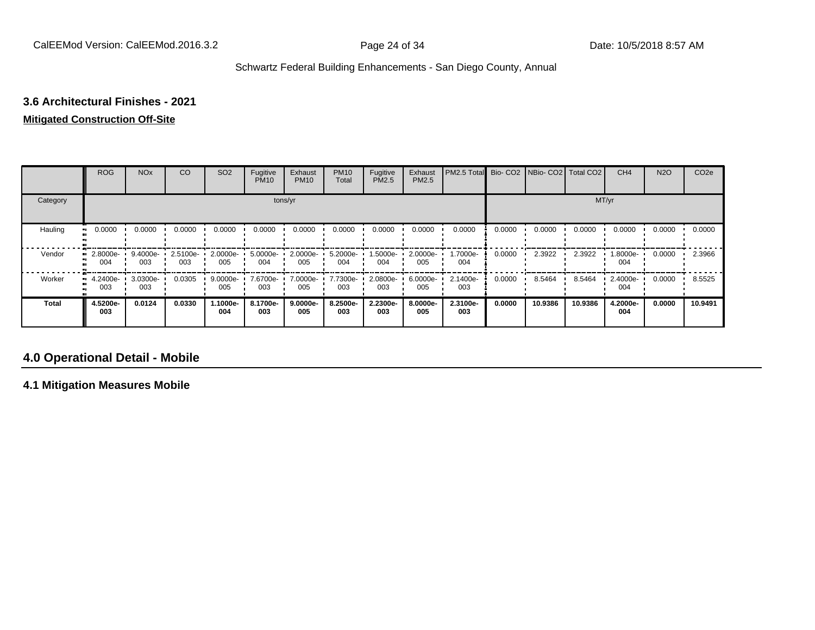## **3.6 Architectural Finishes - 2021**

#### **Mitigated Construction Off-Site**

|              | <b>ROG</b>              | <b>NO<sub>x</sub></b> | CO              | SO <sub>2</sub> | Fugitive<br><b>PM10</b> | Exhaust<br><b>PM10</b> | <b>PM10</b><br>Total | Fugitive<br>PM2.5 | Exhaust<br>PM2.5 | PM2.5 Total     |        | Bio- CO2   NBio- CO2   Total CO2 |         | CH <sub>4</sub> | <b>N2O</b> | CO <sub>2e</sub> |
|--------------|-------------------------|-----------------------|-----------------|-----------------|-------------------------|------------------------|----------------------|-------------------|------------------|-----------------|--------|----------------------------------|---------|-----------------|------------|------------------|
| Category     |                         |                       |                 |                 |                         | tons/yr                |                      |                   |                  |                 |        |                                  | MT/yr   |                 |            |                  |
| Hauling      | 0.0000<br>ш             | 0.0000                | 0.0000          | 0.0000          | 0.0000                  | 0.0000                 | 0.0000               | 0.0000            | 0.0000           | 0.0000          | 0.0000 | 0.0000                           | 0.0000  | 0.0000          | 0.0000     | 0.0000           |
| Vendor       | 2.8000e-<br>004         | 9.4000e-<br>003       | 2.5100e-<br>003 | 2.0000e-<br>005 | 5.0000e-<br>004         | 2.0000e-<br>005        | 5.2000e-<br>004      | 1.5000e-<br>004   | 2.0000e-<br>005  | 1.7000e-<br>004 | 0.0000 | 2.3922                           | 2.3922  | 1.8000e-<br>004 | 0.0000     | 2.3966           |
| Worker       | $\cdot$ 4.2400e-<br>003 | 3.0300e-<br>003       | 0.0305          | 9.0000e-<br>005 | 7.6700e-<br>003         | 7.0000e-<br>005        | 7.7300e-<br>003      | 2.0800e-<br>003   | 6.0000e-<br>005  | 2.1400e-<br>003 | 0.0000 | 8.5464                           | 8.5464  | 2.4000e-<br>004 | 0.0000     | 8.5525           |
| <b>Total</b> | 4.5200e-<br>003         | 0.0124                | 0.0330          | 1.1000e-<br>004 | 8.1700e-<br>003         | $9.0000e-$<br>005      | 8.2500e-<br>003      | 2.2300e-<br>003   | 8.0000e-<br>005  | 2.3100e-<br>003 | 0.0000 | 10.9386                          | 10.9386 | 4.2000e-<br>004 | 0.0000     | 10.9491          |

## **4.0 Operational Detail - Mobile**

**4.1 Mitigation Measures Mobile**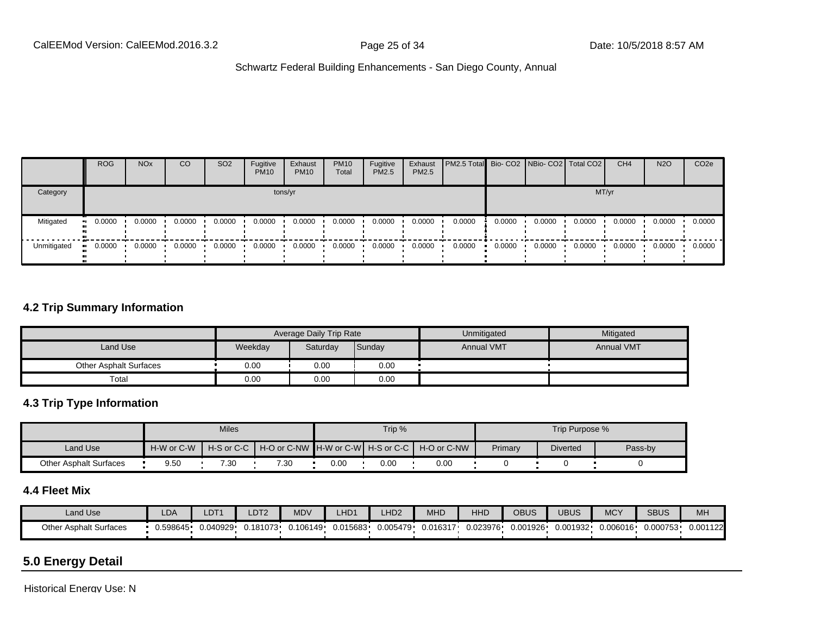|             | <b>ROG</b> | <b>NO<sub>x</sub></b> | CO     | SO <sub>2</sub> | Fugitive<br><b>PM10</b> | Exhaust<br><b>PM10</b> | <b>PM10</b><br>Total | Fugitive<br><b>PM2.5</b> | Exhaust<br>PM2.5 | <b>PM2.5 Total</b> Bio- CO2 NBio- CO2   Total CO2 |        |        |        | CH <sub>4</sub> | <b>N2O</b> | CO <sub>2e</sub> |
|-------------|------------|-----------------------|--------|-----------------|-------------------------|------------------------|----------------------|--------------------------|------------------|---------------------------------------------------|--------|--------|--------|-----------------|------------|------------------|
| Category    |            |                       |        |                 |                         | tons/yr                |                      |                          |                  |                                                   |        |        | MT/yr  |                 |            |                  |
| Mitigated   | 0.0000     | 0.0000                | 0.0000 | 0.0000          | 0.0000                  | 0.0000                 | 0.0000               | 0.0000                   | 0.0000           | 0.0000                                            | 0.0000 | 0.0000 | 0.0000 | 0.0000          | 0.0000     | 0.0000           |
| Unmitigated | 0.0000     | 0.0000                | 0.0000 | 0.0000          | 0.0000                  | 0.0000                 | 0.0000               | 0.0000                   | 0.0000           | 0.0000                                            | 0.0000 | 0.0000 | 0.0000 | 0.0000          | 0.0000     | 0.0000           |

### **4.2 Trip Summary Information**

|                               |         | Average Daily Trip Rate |        | Unmitigated       | Mitigated         |
|-------------------------------|---------|-------------------------|--------|-------------------|-------------------|
| Land Use                      | Weekday | Saturday                | Sunday | <b>Annual VMT</b> | <b>Annual VMT</b> |
| <b>Other Asphalt Surfaces</b> | 0.00    | 0.00                    | 0.00   |                   |                   |
| Total                         | 0.00    | 0.00                    | 0.00   |                   |                   |

### **4.3 Trip Type Information**

|                               |            | <b>Miles</b> |      |      | Trip % |                                                                |         | Trip Purpose %  |         |
|-------------------------------|------------|--------------|------|------|--------|----------------------------------------------------------------|---------|-----------------|---------|
| Land Use                      | H-W or C-W |              |      |      |        | H-S or C-C │ H-O or C-NW ┃H-W or C-W┃ H-S or C-C ┃ H-O or C-NW | Primary | <b>Diverted</b> | Pass-by |
| <b>Other Asphalt Surfaces</b> | 9.50       | 7.30         | 7.30 | 0.00 | 0.00   | 0.00                                                           |         |                 |         |

## **4.4 Fleet Mix**

| Land Use                      | <b>LDA</b> | LDT <sub>1</sub> | _DT <sub>2</sub> | <b>MDV</b> | HD <sub>1</sub> | LHD <sub>2</sub> | <b>MHD</b> | HHD      | OBUS     | UBUS     | <b>MCY</b> | <b>SBUS</b> | MH       |
|-------------------------------|------------|------------------|------------------|------------|-----------------|------------------|------------|----------|----------|----------|------------|-------------|----------|
| <b>Other Asphalt Surfaces</b> | 0.598645   | 0.040929         | 0.181073         | J.106149   | 0.015683        | 0.005479         | 0.016317   | 0.023976 | 0.001926 | 0.001932 | 0.006016.  | 0.000753    | 0.001122 |

## **5.0 Energy Detail**

Historical Energy Use: N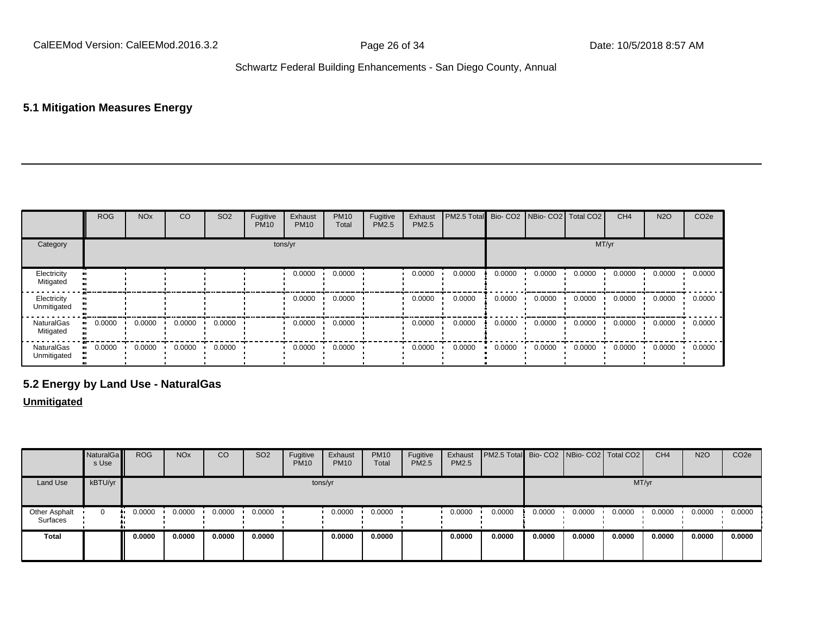## **5.1 Mitigation Measures Energy**

|                                | <b>ROG</b> | <b>NO<sub>x</sub></b> | CO     | SO <sub>2</sub> | Fugitive<br><b>PM10</b> | Exhaust<br><b>PM10</b> | <b>PM10</b><br>Total | Fugitive<br>PM2.5 | Exhaust<br>PM2.5 | PM2.5 Total Bio- CO2 NBio- CO2 Total CO2 |        |        |        | CH <sub>4</sub> | <b>N2O</b> | CO <sub>2e</sub> |
|--------------------------------|------------|-----------------------|--------|-----------------|-------------------------|------------------------|----------------------|-------------------|------------------|------------------------------------------|--------|--------|--------|-----------------|------------|------------------|
| Category                       |            |                       |        |                 |                         | tons/yr                |                      |                   |                  |                                          |        |        | MT/yr  |                 |            |                  |
| Electricity<br>Mitigated       |            |                       |        |                 |                         | 0.0000                 | 0.0000               |                   | 0.0000           | 0.0000                                   | 0.0000 | 0.0000 | 0.0000 | 0.0000          | 0.0000     | 0.0000           |
| Electricity<br>Unmitigated     |            |                       |        |                 |                         | 0.0000                 | 0.0000               |                   | 0.0000           | 0.0000                                   | 0.0000 | 0.0000 | 0.0000 | 0.0000          | 0.0000     | 0.0000           |
| <b>NaturalGas</b><br>Mitigated | 0.0000     | 0.0000                | 0.0000 | 0.0000          |                         | 0.0000                 | 0.0000               |                   | 0.0000           | 0.0000                                   | 0.0000 | 0.0000 | 0.0000 | 0.0000          | 0.0000     | 0.0000           |
| NaturalGas<br>Unmitigated      | 0.0000     | 0.0000                | 0.0000 | 0.0000          |                         | 0.0000                 | 0.0000               |                   | 0.0000           | 0.0000                                   | 0.0000 | 0.0000 | 0.0000 | 0.0000          | 0.0000     | 0.0000           |

## **5.2 Energy by Land Use - NaturalGas**

#### **Unmitigated**

|                           | NaturalGa<br>s Use | <b>ROG</b> | <b>NO<sub>x</sub></b> | CO     | SO <sub>2</sub> | Fugitive<br><b>PM10</b> | Exhaust<br><b>PM10</b> | <b>PM10</b><br>Total | Fugitive<br>PM2.5 | Exhaust<br>PM2.5 | <b>PM2.5 Total</b> Bio- CO2 NBio- CO2 Total CO2 |        |        |        | CH <sub>4</sub> | <b>N2O</b> | CO <sub>2e</sub> |
|---------------------------|--------------------|------------|-----------------------|--------|-----------------|-------------------------|------------------------|----------------------|-------------------|------------------|-------------------------------------------------|--------|--------|--------|-----------------|------------|------------------|
| Land Use                  | kBTU/yr            |            |                       |        |                 |                         | tons/yr                |                      |                   |                  |                                                 |        |        | MT/yr  |                 |            |                  |
| Other Asphalt<br>Surfaces | 0                  | 0.0000     | 0.0000                | 0.0000 | 0.0000          |                         | 0.0000                 | 0.0000               |                   | 0.0000           | 0.0000                                          | 0.0000 | 0.0000 | 0.0000 | 0.0000          | 0.0000     | 0.0000           |
| <b>Total</b>              |                    | 0.0000     | 0.0000                | 0.0000 | 0.0000          |                         | 0.0000                 | 0.0000               |                   | 0.0000           | 0.0000                                          | 0.0000 | 0.0000 | 0.0000 | 0.0000          | 0.0000     | 0.0000           |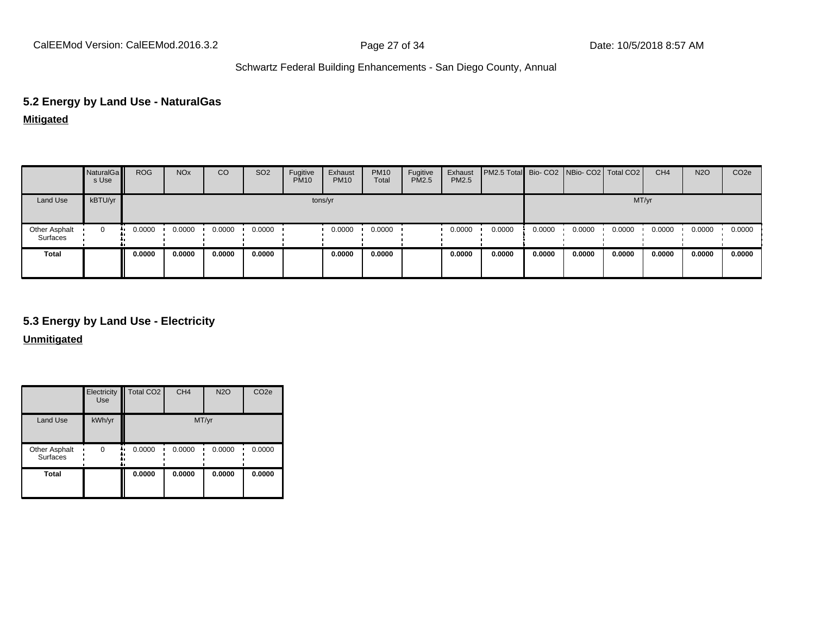# **5.2 Energy by Land Use - NaturalGas**

**Mitigated**

|                           | NaturalGa<br>s Use | <b>ROG</b> | <b>NO<sub>x</sub></b> | CO     | SO <sub>2</sub> | Fugitive<br><b>PM10</b> | Exhaust<br><b>PM10</b> | <b>PM10</b><br>Total | Fugitive<br>PM2.5 | Exhaust<br>PM2.5 | PM2.5 Total Bio-CO2 NBio-CO2 Total CO2 |        |        |        | CH <sub>4</sub> | <b>N2O</b> | CO <sub>2e</sub> |
|---------------------------|--------------------|------------|-----------------------|--------|-----------------|-------------------------|------------------------|----------------------|-------------------|------------------|----------------------------------------|--------|--------|--------|-----------------|------------|------------------|
| Land Use                  | kBTU/yr            |            |                       |        |                 |                         | tons/yr                |                      |                   |                  |                                        |        |        | MT/yr  |                 |            |                  |
| Other Asphalt<br>Surfaces | 0                  | 0.0000     | 0.0000                | 0.0000 | 0.0000          |                         | 0.0000                 | 0.0000               |                   | 0.0000           | 0.0000                                 | 0.0000 | 0.0000 | 0.0000 | 0.0000          | 0.0000     | 0.0000           |
| <b>Total</b>              |                    | 0.0000     | 0.0000                | 0.0000 | 0.0000          |                         | 0.0000                 | 0.0000               |                   | 0.0000           | 0.0000                                 | 0.0000 | 0.0000 | 0.0000 | 0.0000          | 0.0000     | 0.0000           |

## **5.3 Energy by Land Use - Electricity**

**Unmitigated**

|                                  | Electricity<br><b>Use</b> | Total CO <sub>2</sub> | CH <sub>4</sub> | <b>N2O</b> | CO <sub>2e</sub> |
|----------------------------------|---------------------------|-----------------------|-----------------|------------|------------------|
| <b>Land Use</b>                  | kWh/yr                    |                       | MT/yr           |            |                  |
| Other Asphalt<br><b>Surfaces</b> | $\Omega$                  | 0.0000                | 0.0000          | 0.0000     | 0.0000           |
| <b>Total</b>                     |                           | 0.0000                | 0.0000          | 0.0000     | 0.0000           |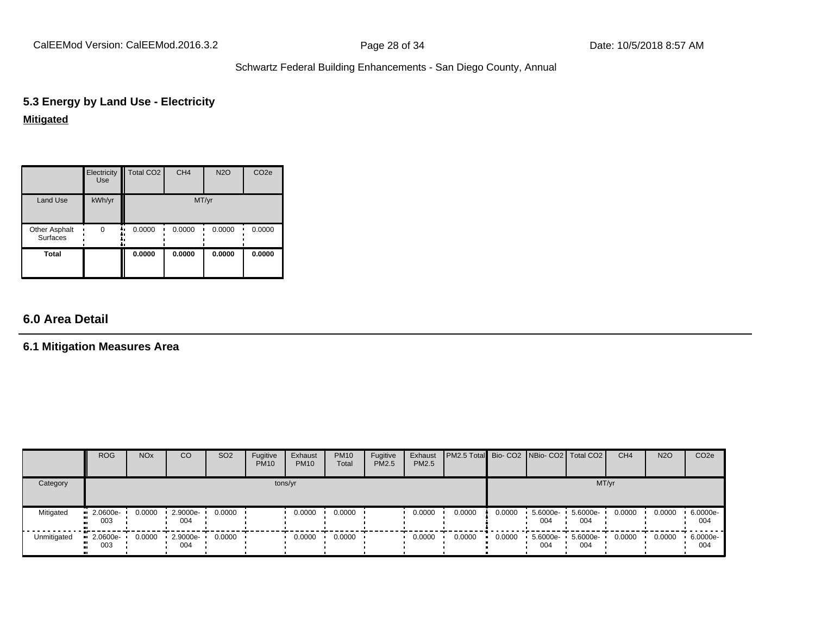CalEEMod Version: CalEEMod.2016.3.2 **Page 28 of 34** Page 28 of 34 Date: 10/5/2018 8:57 AM

## Schwartz Federal Building Enhancements - San Diego County, Annual

## **5.3 Energy by Land Use - Electricity Mitigated**

|                           | Electricity<br><b>Use</b> | Total CO <sub>2</sub> | CH <sub>4</sub> | <b>N2O</b>  | CO <sub>2e</sub> |
|---------------------------|---------------------------|-----------------------|-----------------|-------------|------------------|
| <b>Land Use</b>           | kWh/yr                    |                       | MT/yr           |             |                  |
| Other Asphalt<br>Surfaces | 0                         | 0.0000<br>٠.          | 0.0000          | 0.0000<br>∎ | 0.0000           |
| <b>Total</b>              |                           | 0.0000                | 0.0000          | 0.0000      | 0.0000           |

## **6.0 Area Detail**

## **6.1 Mitigation Measures Area**

|             | <b>ROG</b>                    | <b>NO<sub>x</sub></b> | CO                 | SO <sub>2</sub> | Fugitive<br><b>PM10</b> | Exhaust<br><b>PM10</b> | <b>PM10</b><br>Total    | Fugitive<br><b>PM2.5</b> | Exhaust<br><b>PM2.5</b> | <b>PM2.5 Total</b> Bio- CO2 NBio- CO2   Total CO2 |        |                    |                 | CH <sub>4</sub> | <b>N2O</b> | CO <sub>2</sub> e |
|-------------|-------------------------------|-----------------------|--------------------|-----------------|-------------------------|------------------------|-------------------------|--------------------------|-------------------------|---------------------------------------------------|--------|--------------------|-----------------|-----------------|------------|-------------------|
| Category    |                               |                       |                    |                 |                         | tons/yr                |                         |                          |                         |                                                   |        |                    |                 | MT/yr           |            |                   |
| Mitigated   | $\cdot$ 2.0600e-<br>003<br>ш. | 0.0000                | 2.9000e-<br>004    | 0.0000          |                         | 0.0000                 | 0.0000                  |                          | 0.0000                  | 0.0000                                            | 0.0000 | 5.6000e-<br>004    | 5.6000e-<br>004 | 0.0000          | 0.0000     | 6.0000e-<br>004   |
| Unmitigated | $-2.0600e-$<br>ш<br>003<br>ш. | 0.0000                | $-2.9000e-$<br>004 | 0.0000          |                         | 0.0000                 | $0.0000$ $\blacksquare$ |                          | 0.0000                  | 0.0000                                            | 0.0000 | $5.6000e -$<br>004 | 5.6000e-<br>004 | 0.0000          | 0.0000     | 6.0000e-<br>004   |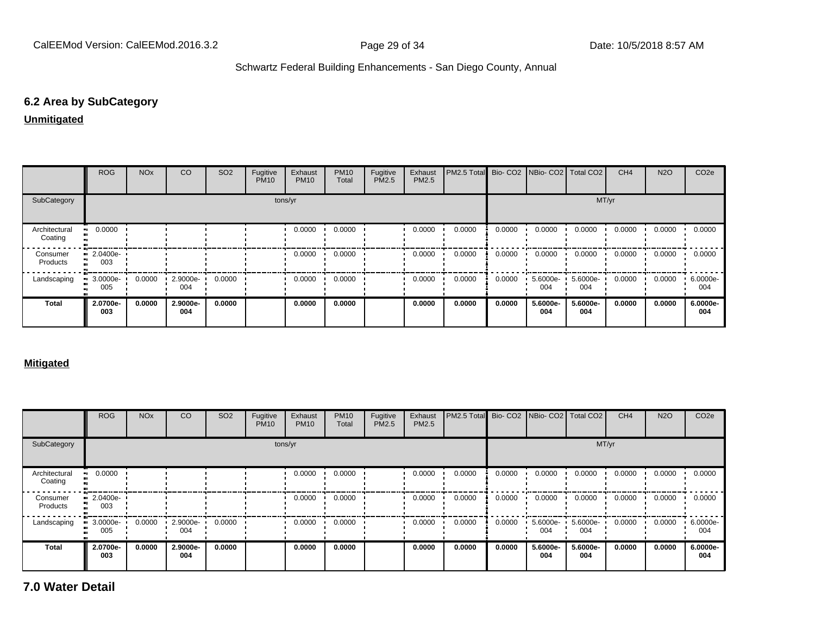### **6.2 Area by SubCategory**

#### **Unmitigated**

|                          | ROG                            | <b>NO<sub>x</sub></b> | CO.             | SO <sub>2</sub> | Fugitive<br><b>PM10</b> | Exhaust<br><b>PM10</b> | <b>PM10</b><br>Total | Fugitive<br>PM2.5 | Exhaust<br><b>PM2.5</b> | PM2.5 Total Bio- CO2 NBio- CO2 Total CO2 |        |                 |                 | CH <sub>4</sub> | <b>N2O</b> | CO <sub>2</sub> e |
|--------------------------|--------------------------------|-----------------------|-----------------|-----------------|-------------------------|------------------------|----------------------|-------------------|-------------------------|------------------------------------------|--------|-----------------|-----------------|-----------------|------------|-------------------|
| SubCategory              |                                |                       |                 |                 | tons/yr                 |                        |                      |                   |                         |                                          |        |                 | MT/yr           |                 |            |                   |
| Architectural<br>Coating | $\blacksquare$ 0.0000          |                       |                 |                 |                         | 0.0000                 | 0.0000               |                   | 0.0000                  | 0.0000                                   | 0.0000 | 0.0000          | 0.0000          | 0.0000          | 0.0000     | 0.0000            |
| Consumer<br>Products     | $\blacksquare$ 2.0400e-<br>003 |                       |                 |                 |                         | 0.0000                 | 0.0000               |                   | 0.0000                  | 0.0000                                   | 0.0000 | 0.0000          | 0.0000          | 0.0000          | 0.0000     | 0.0000            |
| Landscaping              | $\cdot$ 3.0000e-<br>005        | 0.0000                | 2.9000e-<br>004 | 0.0000          |                         | 0.0000                 | 0.0000               |                   | 0.0000                  | 0.0000                                   | 0.0000 | 5.6000e-<br>004 | 5.6000e-<br>004 | 0.0000          | 0.0000     | 6.0000e-<br>004   |
| <b>Total</b>             | 2.0700e-<br>003                | 0.0000                | 2.9000e-<br>004 | 0.0000          |                         | 0.0000                 | 0.0000               |                   | 0.0000                  | 0.0000                                   | 0.0000 | 5.6000e-<br>004 | 5.6000e-<br>004 | 0.0000          | 0.0000     | 6.0000e-<br>004   |

#### **Mitigated**

|                          | ROG                            | <b>NO<sub>x</sub></b> | CO              | SO <sub>2</sub> | Fugitive<br><b>PM10</b> | Exhaust<br><b>PM10</b> | <b>PM10</b><br>Total | Fugitive<br><b>PM2.5</b> | Exhaust<br><b>PM2.5</b> | <b>IPM2.5 Total</b> Bio- CO2 INBio- CO2 Total CO2 |        |                 |                              | CH <sub>4</sub> | <b>N2O</b> | CO <sub>2e</sub> |
|--------------------------|--------------------------------|-----------------------|-----------------|-----------------|-------------------------|------------------------|----------------------|--------------------------|-------------------------|---------------------------------------------------|--------|-----------------|------------------------------|-----------------|------------|------------------|
| SubCategory              |                                |                       |                 |                 |                         | tons/yr                |                      |                          |                         |                                                   |        |                 | MT/yr                        |                 |            |                  |
| Architectural<br>Coating | 0.0000                         |                       |                 |                 |                         | 0.0000                 | 0.0000               |                          | 0.0000                  | 0.0000                                            | 0.0000 | 0.0000          | 0.0000                       | 0.0000          | 0.0000     | 0.0000           |
| Consumer<br>Products     | $\blacksquare$ 2.0400e-<br>003 |                       |                 |                 |                         | 0.0000                 | 0.0000               |                          | 0.0000                  | 0.0000                                            | 0.0000 | 0.0000          | 0.0000                       | 0.0000          | 0.0000     | 0.0000           |
| Landscaping              | 3.0000e-<br>005                | 0.0000                | 2.9000e-<br>004 | 0.0000          |                         | 0.0000                 | 0.0000               |                          | 0.0000                  | 0.0000                                            | 0.0000 | 004             | 5.6000e- 1 5.6000e- 1<br>004 | 0.0000          | 0.0000     | 6.0000e-<br>004  |
| <b>Total</b>             | 2.0700e-<br>003                | 0.0000                | 2.9000e-<br>004 | 0.0000          |                         | 0.0000                 | 0.0000               |                          | 0.0000                  | 0.0000                                            | 0.0000 | 5.6000e-<br>004 | 5.6000e-<br>004              | 0.0000          | 0.0000     | 6.0000e-<br>004  |

**7.0 Water Detail**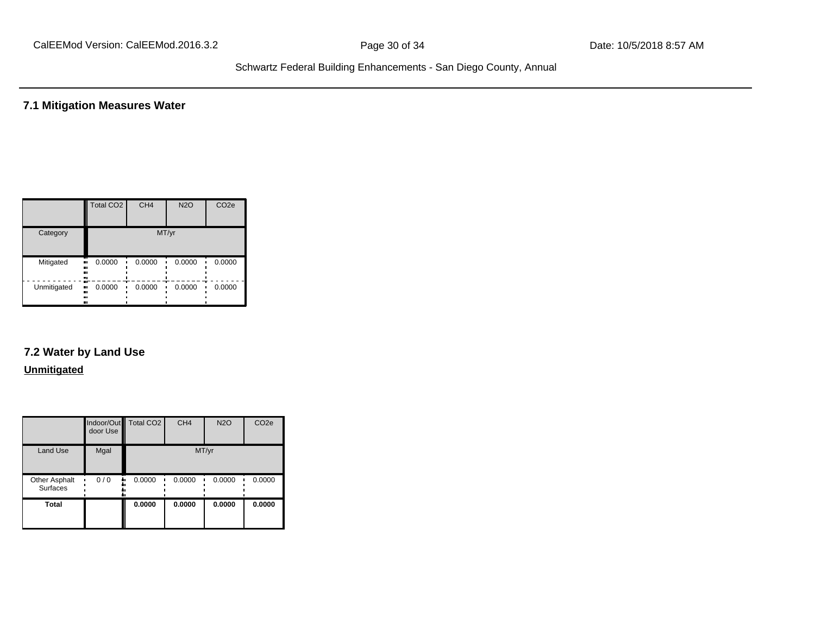**7.1 Mitigation Measures Water**

|             | <b>Total CO2</b>     | CH <sub>4</sub> | <b>N2O</b> | CO <sub>2e</sub> |
|-------------|----------------------|-----------------|------------|------------------|
| Category    |                      |                 | MT/yr      |                  |
| Mitigated   | 0.0000<br>.,<br><br> | 0.0000          | 0.0000     | 0.0000           |
| Unmitigated | 0.0000<br><br><br>   | 0.0000          | 0.0000     | 0.0000           |

# **7.2 Water by Land Use**

#### **Unmitigated**

|                                  | door Use | Indoor/Out Total CO2 | CH <sub>4</sub> | <b>N2O</b> | CO <sub>2e</sub> |
|----------------------------------|----------|----------------------|-----------------|------------|------------------|
| <b>Land Use</b>                  | Mgal     |                      |                 | MT/yr      |                  |
| Other Asphalt<br><b>Surfaces</b> | 0/0      | 0.0000               | 0.0000          | 0.0000     | 0.0000           |
| <b>Total</b>                     |          | 0.0000               | 0.0000          | 0.0000     | 0.0000           |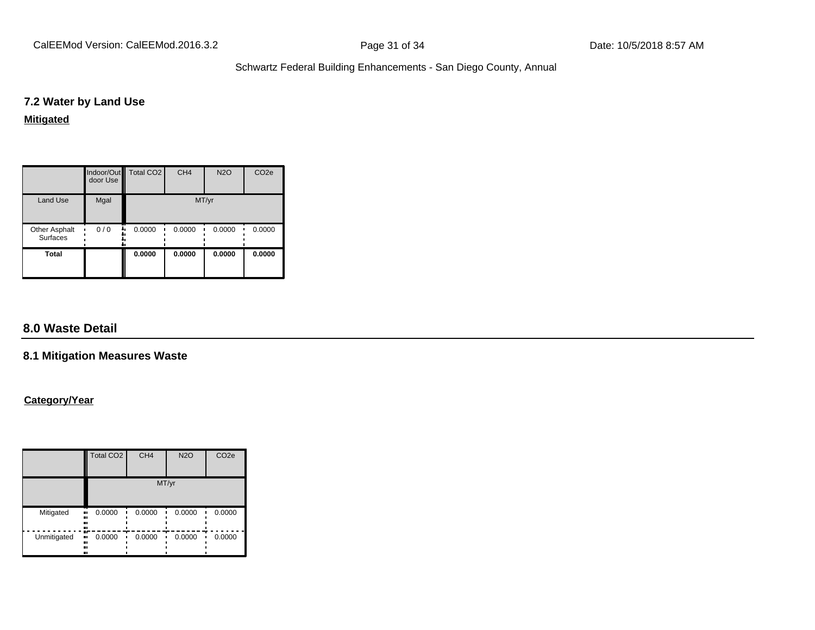### **7.2 Water by Land Use**

#### **Mitigated**

|                                  | door Use | Indoor/Out Total CO2 | CH <sub>4</sub> | <b>N2O</b> | CO <sub>2e</sub> |
|----------------------------------|----------|----------------------|-----------------|------------|------------------|
| <b>Land Use</b>                  | Mgal     |                      | MT/yr           |            |                  |
| Other Asphalt<br><b>Surfaces</b> | 0/0      | 0.0000<br>۰.         | 0.0000          | 0.0000     | 0.0000           |
| <b>Total</b>                     |          | 0.0000               | 0.0000          | 0.0000     | 0.0000           |

## **8.0 Waste Detail**

### **8.1 Mitigation Measures Waste**

#### **Category/Year**

|             | <b>Total CO2</b>              | CH <sub>4</sub> | <b>N2O</b> | CO <sub>2e</sub> |
|-------------|-------------------------------|-----------------|------------|------------------|
|             |                               |                 | MT/yr      |                  |
| Mitigated   | 0.0000<br><br><br><br>        | 0.0000          | 0.0000     | 0.0000           |
| Unmitigated | æ<br>0.0000<br>ш,<br><br><br> | 0.0000          | 0.0000     | 0.0000           |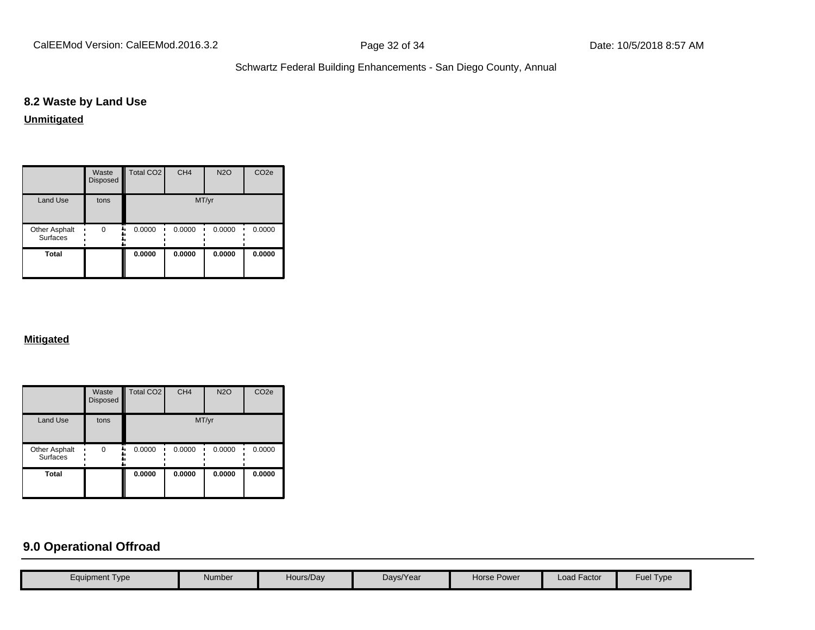## **8.2 Waste by Land Use**

**Unmitigated**

|                                  | Waste<br>Disposed | Total CO <sub>2</sub> | CH <sub>4</sub> | <b>N2O</b> | CO <sub>2e</sub> |
|----------------------------------|-------------------|-----------------------|-----------------|------------|------------------|
| <b>Land Use</b>                  | tons              |                       | MT/yr           |            |                  |
| Other Asphalt<br><b>Surfaces</b> | $\Omega$          | 0.0000                | 0.0000          | 0.0000     | 0.0000           |
| <b>Total</b>                     |                   | 0.0000                | 0.0000          | 0.0000     | 0.0000           |

#### **Mitigated**

|                                  | Waste<br>Disposed | <b>Total CO2</b> | CH <sub>4</sub> | <b>N2O</b> | CO <sub>2e</sub> |
|----------------------------------|-------------------|------------------|-----------------|------------|------------------|
| <b>Land Use</b>                  | tons              |                  | MT/yr           |            |                  |
| Other Asphalt<br><b>Surfaces</b> | $\Omega$          | 0.0000           | 0.0000          | 0.0000     | 0.0000           |
| <b>Total</b>                     |                   | 0.0000           | 0.0000          | 0.0000     | 0.0000           |

## **9.0 Operational Offroad**

| Equipment Type | Number | Hours/Day | Days/Year | Horse Power | <b>Load Factor</b> | Fuel Type |
|----------------|--------|-----------|-----------|-------------|--------------------|-----------|